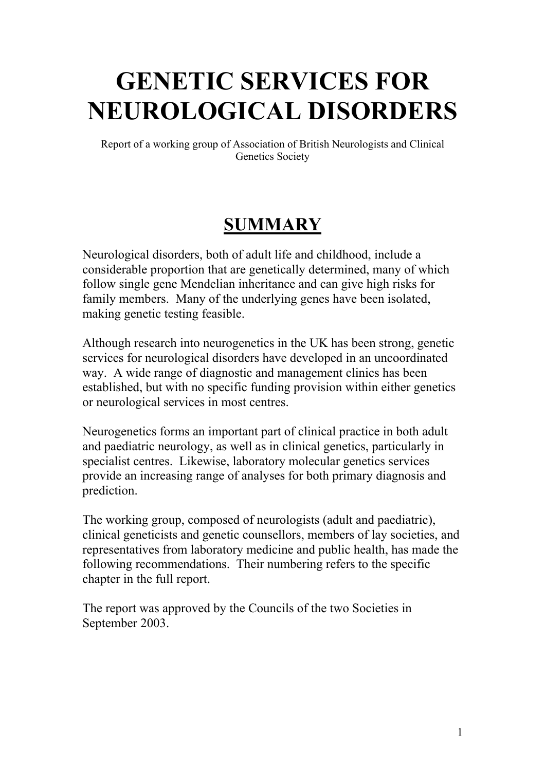# **GENETIC SERVICES FOR NEUROLOGICAL DISORDERS**

Report of a working group of Association of British Neurologists and Clinical Genetics Society

## **SUMMARY**

Neurological disorders, both of adult life and childhood, include a considerable proportion that are genetically determined, many of which follow single gene Mendelian inheritance and can give high risks for family members. Many of the underlying genes have been isolated, making genetic testing feasible.

Although research into neurogenetics in the UK has been strong, genetic services for neurological disorders have developed in an uncoordinated way. A wide range of diagnostic and management clinics has been established, but with no specific funding provision within either genetics or neurological services in most centres.

Neurogenetics forms an important part of clinical practice in both adult and paediatric neurology, as well as in clinical genetics, particularly in specialist centres. Likewise, laboratory molecular genetics services provide an increasing range of analyses for both primary diagnosis and prediction.

The working group, composed of neurologists (adult and paediatric), clinical geneticists and genetic counsellors, members of lay societies, and representatives from laboratory medicine and public health, has made the following recommendations. Their numbering refers to the specific chapter in the full report.

The report was approved by the Councils of the two Societies in September 2003.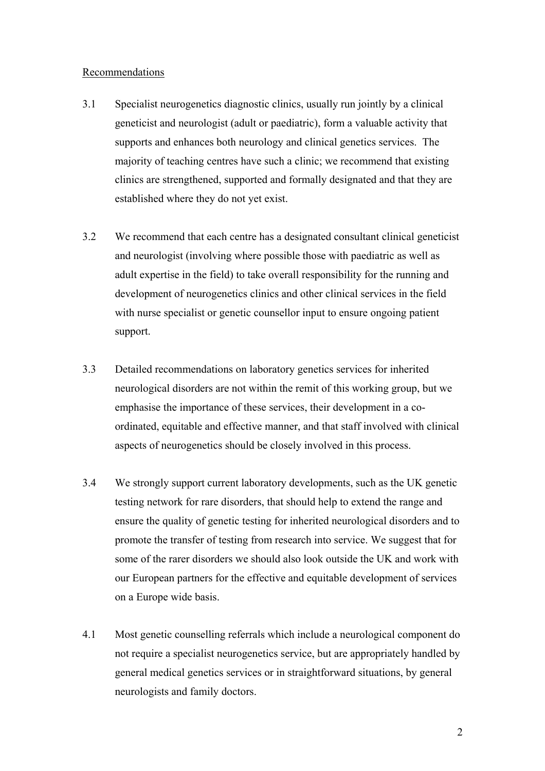#### Recommendations

- 3.1 Specialist neurogenetics diagnostic clinics, usually run jointly by a clinical geneticist and neurologist (adult or paediatric), form a valuable activity that supports and enhances both neurology and clinical genetics services. The majority of teaching centres have such a clinic; we recommend that existing clinics are strengthened, supported and formally designated and that they are established where they do not yet exist.
- 3.2 We recommend that each centre has a designated consultant clinical geneticist and neurologist (involving where possible those with paediatric as well as adult expertise in the field) to take overall responsibility for the running and development of neurogenetics clinics and other clinical services in the field with nurse specialist or genetic counsellor input to ensure ongoing patient support.
- 3.3 Detailed recommendations on laboratory genetics services for inherited neurological disorders are not within the remit of this working group, but we emphasise the importance of these services, their development in a coordinated, equitable and effective manner, and that staff involved with clinical aspects of neurogenetics should be closely involved in this process.
- 3.4 We strongly support current laboratory developments, such as the UK genetic testing network for rare disorders, that should help to extend the range and ensure the quality of genetic testing for inherited neurological disorders and to promote the transfer of testing from research into service. We suggest that for some of the rarer disorders we should also look outside the UK and work with our European partners for the effective and equitable development of services on a Europe wide basis.
- 4.1 Most genetic counselling referrals which include a neurological component do not require a specialist neurogenetics service, but are appropriately handled by general medical genetics services or in straightforward situations, by general neurologists and family doctors.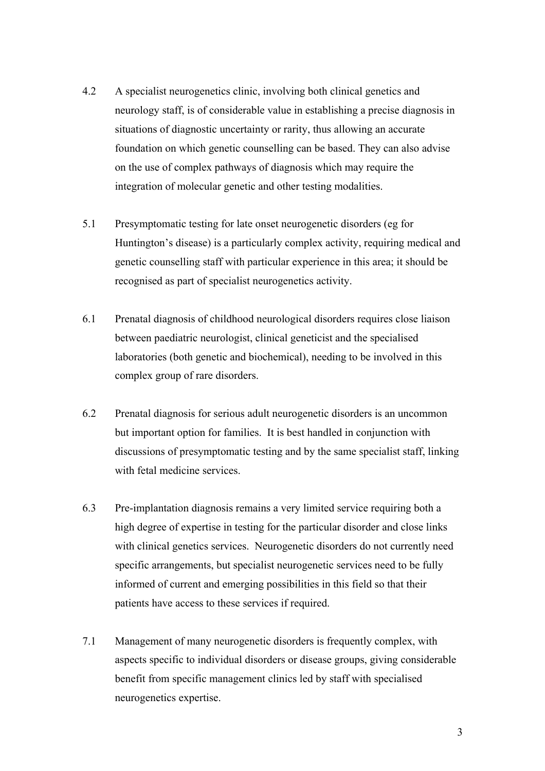- 4.2 A specialist neurogenetics clinic, involving both clinical genetics and neurology staff, is of considerable value in establishing a precise diagnosis in situations of diagnostic uncertainty or rarity, thus allowing an accurate foundation on which genetic counselling can be based. They can also advise on the use of complex pathways of diagnosis which may require the integration of molecular genetic and other testing modalities.
- 5.1 Presymptomatic testing for late onset neurogenetic disorders (eg for Huntington's disease) is a particularly complex activity, requiring medical and genetic counselling staff with particular experience in this area; it should be recognised as part of specialist neurogenetics activity.
- 6.1 Prenatal diagnosis of childhood neurological disorders requires close liaison between paediatric neurologist, clinical geneticist and the specialised laboratories (both genetic and biochemical), needing to be involved in this complex group of rare disorders.
- 6.2 Prenatal diagnosis for serious adult neurogenetic disorders is an uncommon but important option for families. It is best handled in conjunction with discussions of presymptomatic testing and by the same specialist staff, linking with fetal medicine services.
- 6.3 Pre-implantation diagnosis remains a very limited service requiring both a high degree of expertise in testing for the particular disorder and close links with clinical genetics services. Neurogenetic disorders do not currently need specific arrangements, but specialist neurogenetic services need to be fully informed of current and emerging possibilities in this field so that their patients have access to these services if required.
- 7.1 Management of many neurogenetic disorders is frequently complex, with aspects specific to individual disorders or disease groups, giving considerable benefit from specific management clinics led by staff with specialised neurogenetics expertise.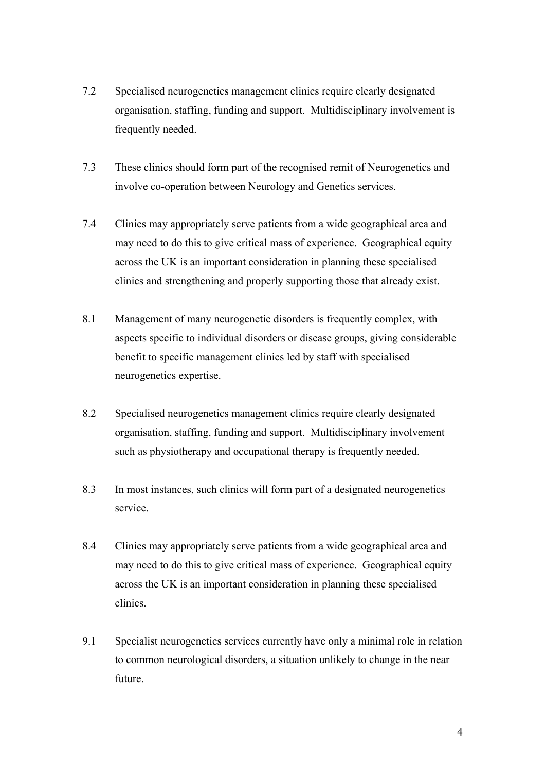- 7.2 Specialised neurogenetics management clinics require clearly designated organisation, staffing, funding and support. Multidisciplinary involvement is frequently needed.
- 7.3 These clinics should form part of the recognised remit of Neurogenetics and involve co-operation between Neurology and Genetics services.
- 7.4 Clinics may appropriately serve patients from a wide geographical area and may need to do this to give critical mass of experience. Geographical equity across the UK is an important consideration in planning these specialised clinics and strengthening and properly supporting those that already exist.
- 8.1 Management of many neurogenetic disorders is frequently complex, with aspects specific to individual disorders or disease groups, giving considerable benefit to specific management clinics led by staff with specialised neurogenetics expertise.
- 8.2 Specialised neurogenetics management clinics require clearly designated organisation, staffing, funding and support. Multidisciplinary involvement such as physiotherapy and occupational therapy is frequently needed.
- 8.3 In most instances, such clinics will form part of a designated neurogenetics service.
- 8.4 Clinics may appropriately serve patients from a wide geographical area and may need to do this to give critical mass of experience. Geographical equity across the UK is an important consideration in planning these specialised clinics.
- 9.1 Specialist neurogenetics services currently have only a minimal role in relation to common neurological disorders, a situation unlikely to change in the near future.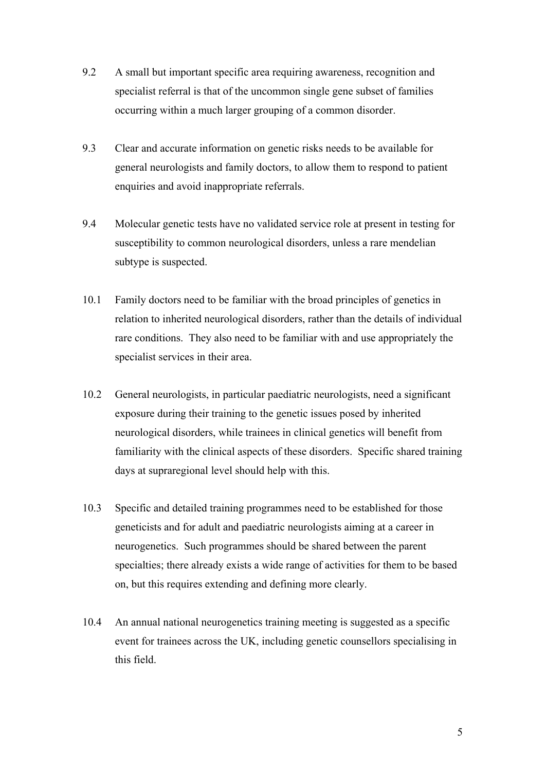- 9.2 A small but important specific area requiring awareness, recognition and specialist referral is that of the uncommon single gene subset of families occurring within a much larger grouping of a common disorder.
- 9.3 Clear and accurate information on genetic risks needs to be available for general neurologists and family doctors, to allow them to respond to patient enquiries and avoid inappropriate referrals.
- 9.4 Molecular genetic tests have no validated service role at present in testing for susceptibility to common neurological disorders, unless a rare mendelian subtype is suspected.
- 10.1 Family doctors need to be familiar with the broad principles of genetics in relation to inherited neurological disorders, rather than the details of individual rare conditions. They also need to be familiar with and use appropriately the specialist services in their area.
- 10.2 General neurologists, in particular paediatric neurologists, need a significant exposure during their training to the genetic issues posed by inherited neurological disorders, while trainees in clinical genetics will benefit from familiarity with the clinical aspects of these disorders. Specific shared training days at supraregional level should help with this.
- 10.3 Specific and detailed training programmes need to be established for those geneticists and for adult and paediatric neurologists aiming at a career in neurogenetics. Such programmes should be shared between the parent specialties; there already exists a wide range of activities for them to be based on, but this requires extending and defining more clearly.
- 10.4 An annual national neurogenetics training meeting is suggested as a specific event for trainees across the UK, including genetic counsellors specialising in this field.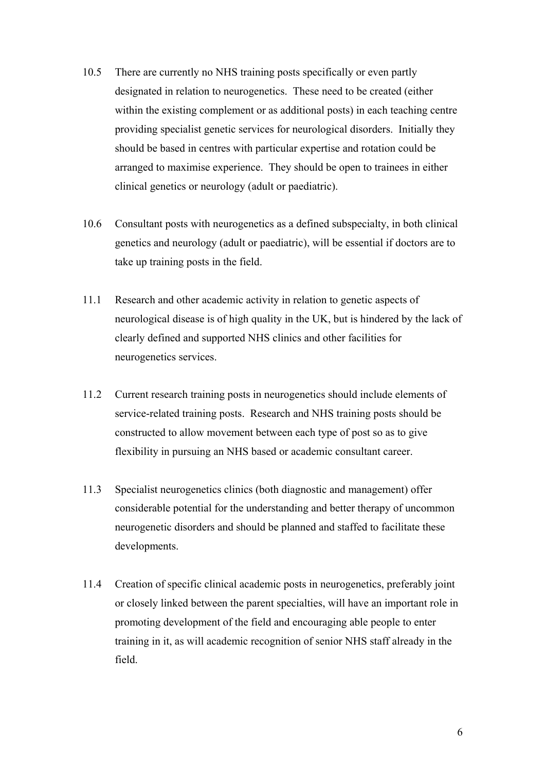- 10.5 There are currently no NHS training posts specifically or even partly designated in relation to neurogenetics. These need to be created (either within the existing complement or as additional posts) in each teaching centre providing specialist genetic services for neurological disorders. Initially they should be based in centres with particular expertise and rotation could be arranged to maximise experience. They should be open to trainees in either clinical genetics or neurology (adult or paediatric).
- 10.6 Consultant posts with neurogenetics as a defined subspecialty, in both clinical genetics and neurology (adult or paediatric), will be essential if doctors are to take up training posts in the field.
- 11.1 Research and other academic activity in relation to genetic aspects of neurological disease is of high quality in the UK, but is hindered by the lack of clearly defined and supported NHS clinics and other facilities for neurogenetics services.
- 11.2 Current research training posts in neurogenetics should include elements of service-related training posts. Research and NHS training posts should be constructed to allow movement between each type of post so as to give flexibility in pursuing an NHS based or academic consultant career.
- 11.3 Specialist neurogenetics clinics (both diagnostic and management) offer considerable potential for the understanding and better therapy of uncommon neurogenetic disorders and should be planned and staffed to facilitate these developments.
- 11.4 Creation of specific clinical academic posts in neurogenetics, preferably joint or closely linked between the parent specialties, will have an important role in promoting development of the field and encouraging able people to enter training in it, as will academic recognition of senior NHS staff already in the field.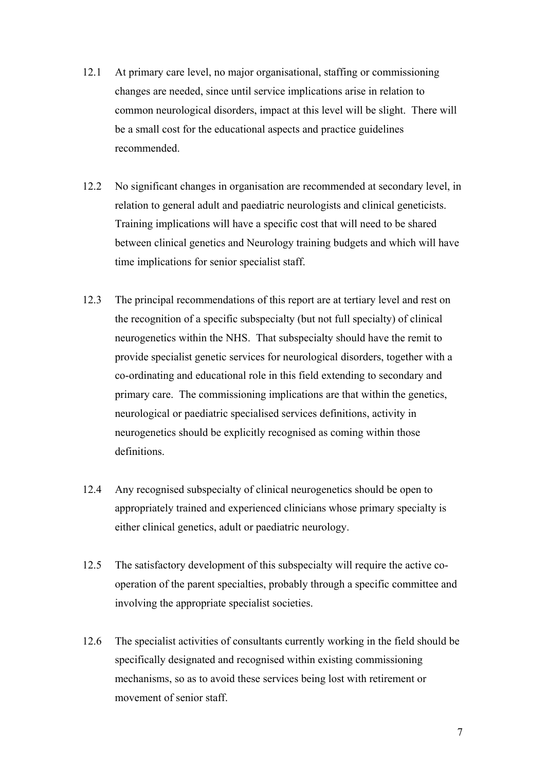- 12.1 At primary care level, no major organisational, staffing or commissioning changes are needed, since until service implications arise in relation to common neurological disorders, impact at this level will be slight. There will be a small cost for the educational aspects and practice guidelines recommended.
- 12.2 No significant changes in organisation are recommended at secondary level, in relation to general adult and paediatric neurologists and clinical geneticists. Training implications will have a specific cost that will need to be shared between clinical genetics and Neurology training budgets and which will have time implications for senior specialist staff.
- 12.3 The principal recommendations of this report are at tertiary level and rest on the recognition of a specific subspecialty (but not full specialty) of clinical neurogenetics within the NHS. That subspecialty should have the remit to provide specialist genetic services for neurological disorders, together with a co-ordinating and educational role in this field extending to secondary and primary care. The commissioning implications are that within the genetics, neurological or paediatric specialised services definitions, activity in neurogenetics should be explicitly recognised as coming within those definitions.
- 12.4 Any recognised subspecialty of clinical neurogenetics should be open to appropriately trained and experienced clinicians whose primary specialty is either clinical genetics, adult or paediatric neurology.
- 12.5 The satisfactory development of this subspecialty will require the active cooperation of the parent specialties, probably through a specific committee and involving the appropriate specialist societies.
- 12.6 The specialist activities of consultants currently working in the field should be specifically designated and recognised within existing commissioning mechanisms, so as to avoid these services being lost with retirement or movement of senior staff.

7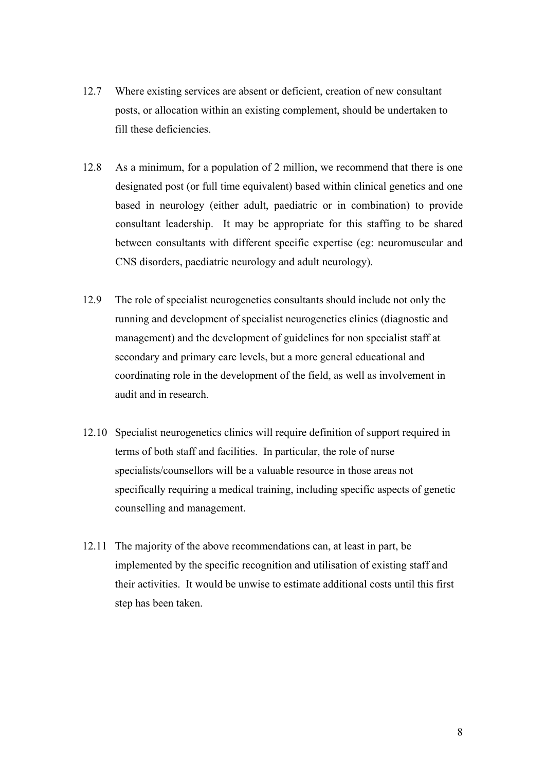- 12.7 Where existing services are absent or deficient, creation of new consultant posts, or allocation within an existing complement, should be undertaken to fill these deficiencies.
- 12.8 As a minimum, for a population of 2 million, we recommend that there is one designated post (or full time equivalent) based within clinical genetics and one based in neurology (either adult, paediatric or in combination) to provide consultant leadership. It may be appropriate for this staffing to be shared between consultants with different specific expertise (eg: neuromuscular and CNS disorders, paediatric neurology and adult neurology).
- 12.9 The role of specialist neurogenetics consultants should include not only the running and development of specialist neurogenetics clinics (diagnostic and management) and the development of guidelines for non specialist staff at secondary and primary care levels, but a more general educational and coordinating role in the development of the field, as well as involvement in audit and in research.
- 12.10 Specialist neurogenetics clinics will require definition of support required in terms of both staff and facilities. In particular, the role of nurse specialists/counsellors will be a valuable resource in those areas not specifically requiring a medical training, including specific aspects of genetic counselling and management.
- 12.11 The majority of the above recommendations can, at least in part, be implemented by the specific recognition and utilisation of existing staff and their activities. It would be unwise to estimate additional costs until this first step has been taken.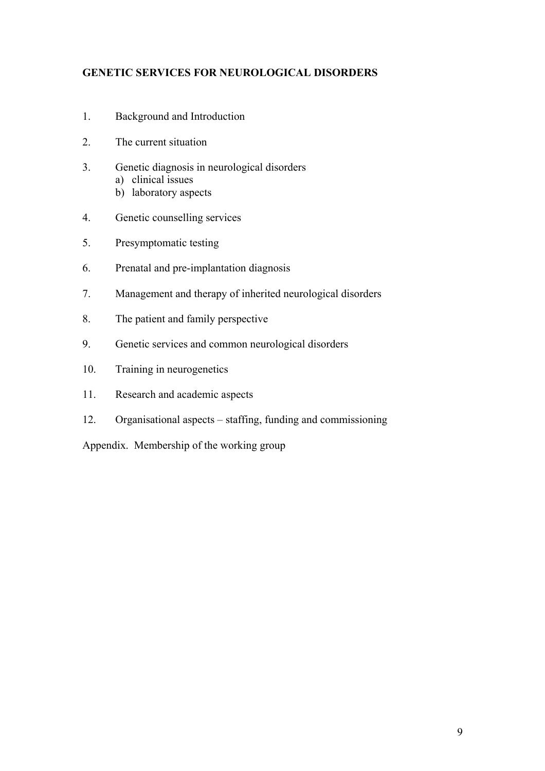#### **GENETIC SERVICES FOR NEUROLOGICAL DISORDERS**

- 1. Background and Introduction
- 2. The current situation
- 3. Genetic diagnosis in neurological disorders a) clinical issues
	- b) laboratory aspects
- 4. Genetic counselling services
- 5. Presymptomatic testing
- 6. Prenatal and pre-implantation diagnosis
- 7. Management and therapy of inherited neurological disorders
- 8. The patient and family perspective
- 9. Genetic services and common neurological disorders
- 10. Training in neurogenetics
- 11. Research and academic aspects
- 12. Organisational aspects staffing, funding and commissioning

Appendix. Membership of the working group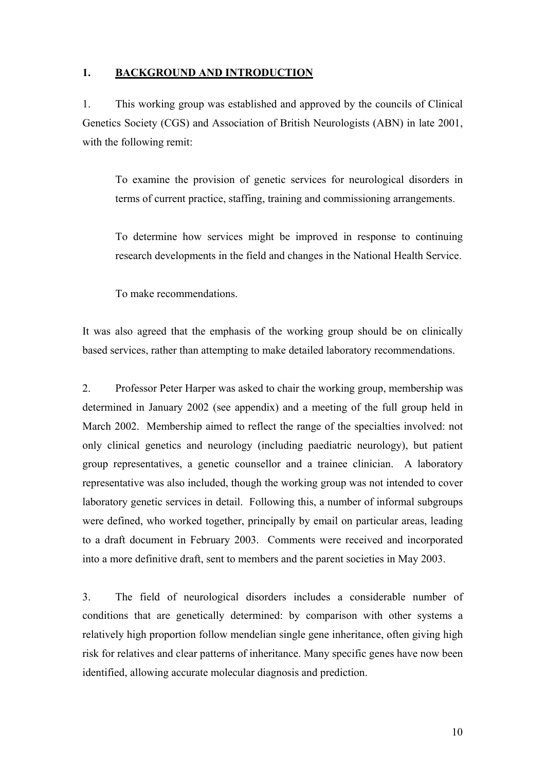#### **1. BACKGROUND AND INTRODUCTION**

1. This working group was established and approved by the councils of Clinical Genetics Society (CGS) and Association of British Neurologists (ABN) in late 2001, with the following remit:

 To examine the provision of genetic services for neurological disorders in terms of current practice, staffing, training and commissioning arrangements.

 To determine how services might be improved in response to continuing research developments in the field and changes in the National Health Service.

To make recommendations.

It was also agreed that the emphasis of the working group should be on clinically based services, rather than attempting to make detailed laboratory recommendations.

2. Professor Peter Harper was asked to chair the working group, membership was determined in January 2002 (see appendix) and a meeting of the full group held in March 2002. Membership aimed to reflect the range of the specialties involved: not only clinical genetics and neurology (including paediatric neurology), but patient group representatives, a genetic counsellor and a trainee clinician. A laboratory representative was also included, though the working group was not intended to cover laboratory genetic services in detail. Following this, a number of informal subgroups were defined, who worked together, principally by email on particular areas, leading to a draft document in February 2003. Comments were received and incorporated into a more definitive draft, sent to members and the parent societies in May 2003.

3. The field of neurological disorders includes a considerable number of conditions that are genetically determined: by comparison with other systems a relatively high proportion follow mendelian single gene inheritance, often giving high risk for relatives and clear patterns of inheritance. Many specific genes have now been identified, allowing accurate molecular diagnosis and prediction.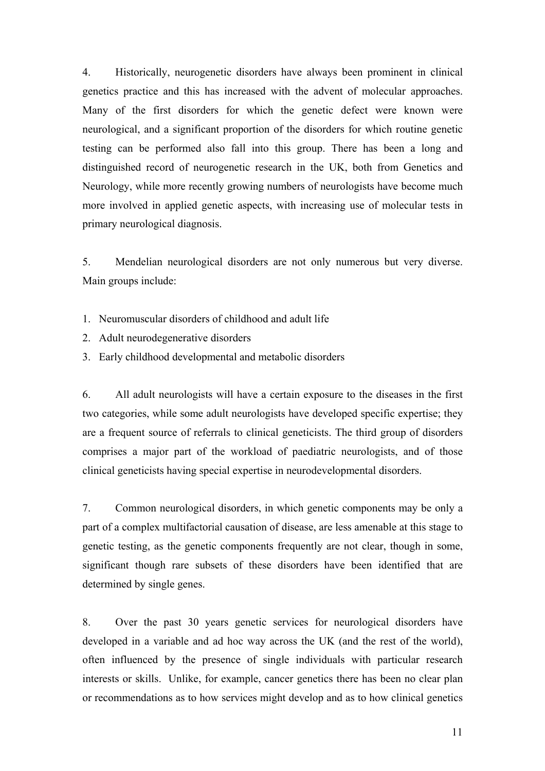4. Historically, neurogenetic disorders have always been prominent in clinical genetics practice and this has increased with the advent of molecular approaches. Many of the first disorders for which the genetic defect were known were neurological, and a significant proportion of the disorders for which routine genetic testing can be performed also fall into this group. There has been a long and distinguished record of neurogenetic research in the UK, both from Genetics and Neurology, while more recently growing numbers of neurologists have become much more involved in applied genetic aspects, with increasing use of molecular tests in primary neurological diagnosis.

5. Mendelian neurological disorders are not only numerous but very diverse. Main groups include:

- 1. Neuromuscular disorders of childhood and adult life
- 2. Adult neurodegenerative disorders
- 3. Early childhood developmental and metabolic disorders

6. All adult neurologists will have a certain exposure to the diseases in the first two categories, while some adult neurologists have developed specific expertise; they are a frequent source of referrals to clinical geneticists. The third group of disorders comprises a major part of the workload of paediatric neurologists, and of those clinical geneticists having special expertise in neurodevelopmental disorders.

7. Common neurological disorders, in which genetic components may be only a part of a complex multifactorial causation of disease, are less amenable at this stage to genetic testing, as the genetic components frequently are not clear, though in some, significant though rare subsets of these disorders have been identified that are determined by single genes.

8. Over the past 30 years genetic services for neurological disorders have developed in a variable and ad hoc way across the UK (and the rest of the world), often influenced by the presence of single individuals with particular research interests or skills. Unlike, for example, cancer genetics there has been no clear plan or recommendations as to how services might develop and as to how clinical genetics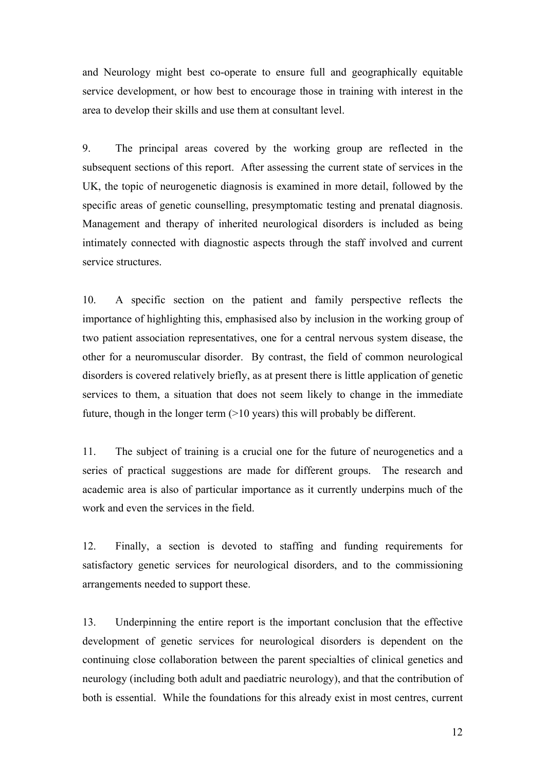and Neurology might best co-operate to ensure full and geographically equitable service development, or how best to encourage those in training with interest in the area to develop their skills and use them at consultant level.

9. The principal areas covered by the working group are reflected in the subsequent sections of this report. After assessing the current state of services in the UK, the topic of neurogenetic diagnosis is examined in more detail, followed by the specific areas of genetic counselling, presymptomatic testing and prenatal diagnosis. Management and therapy of inherited neurological disorders is included as being intimately connected with diagnostic aspects through the staff involved and current service structures.

10. A specific section on the patient and family perspective reflects the importance of highlighting this, emphasised also by inclusion in the working group of two patient association representatives, one for a central nervous system disease, the other for a neuromuscular disorder. By contrast, the field of common neurological disorders is covered relatively briefly, as at present there is little application of genetic services to them, a situation that does not seem likely to change in the immediate future, though in the longer term (>10 years) this will probably be different.

11. The subject of training is a crucial one for the future of neurogenetics and a series of practical suggestions are made for different groups. The research and academic area is also of particular importance as it currently underpins much of the work and even the services in the field.

12. Finally, a section is devoted to staffing and funding requirements for satisfactory genetic services for neurological disorders, and to the commissioning arrangements needed to support these.

13. Underpinning the entire report is the important conclusion that the effective development of genetic services for neurological disorders is dependent on the continuing close collaboration between the parent specialties of clinical genetics and neurology (including both adult and paediatric neurology), and that the contribution of both is essential. While the foundations for this already exist in most centres, current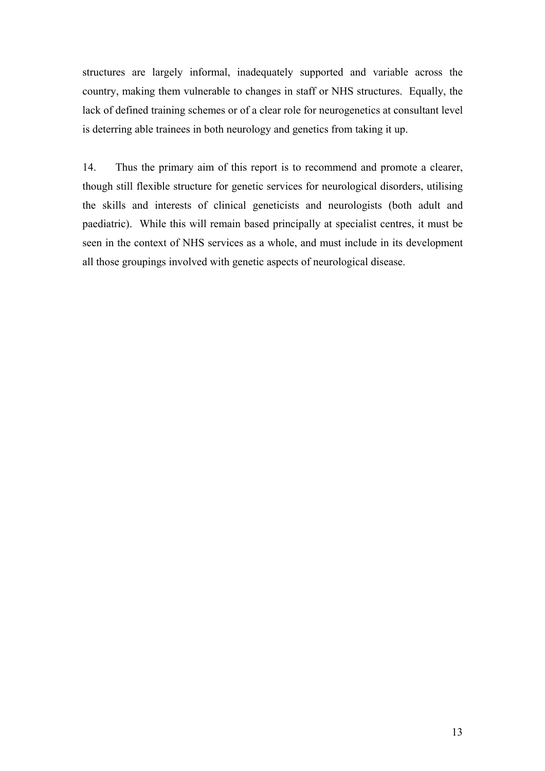structures are largely informal, inadequately supported and variable across the country, making them vulnerable to changes in staff or NHS structures. Equally, the lack of defined training schemes or of a clear role for neurogenetics at consultant level is deterring able trainees in both neurology and genetics from taking it up.

14. Thus the primary aim of this report is to recommend and promote a clearer, though still flexible structure for genetic services for neurological disorders, utilising the skills and interests of clinical geneticists and neurologists (both adult and paediatric). While this will remain based principally at specialist centres, it must be seen in the context of NHS services as a whole, and must include in its development all those groupings involved with genetic aspects of neurological disease.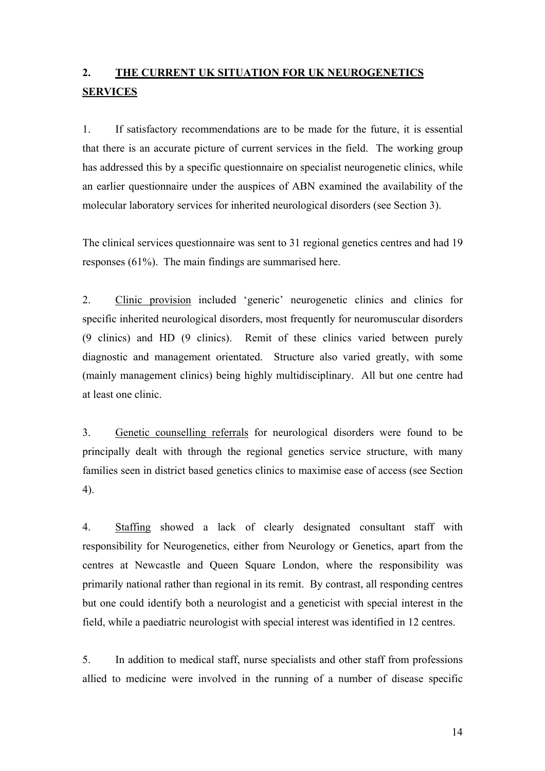## **2. THE CURRENT UK SITUATION FOR UK NEUROGENETICS SERVICES**

1. If satisfactory recommendations are to be made for the future, it is essential that there is an accurate picture of current services in the field. The working group has addressed this by a specific questionnaire on specialist neurogenetic clinics, while an earlier questionnaire under the auspices of ABN examined the availability of the molecular laboratory services for inherited neurological disorders (see Section 3).

The clinical services questionnaire was sent to 31 regional genetics centres and had 19 responses (61%). The main findings are summarised here.

2. Clinic provision included 'generic' neurogenetic clinics and clinics for specific inherited neurological disorders, most frequently for neuromuscular disorders (9 clinics) and HD (9 clinics). Remit of these clinics varied between purely diagnostic and management orientated. Structure also varied greatly, with some (mainly management clinics) being highly multidisciplinary. All but one centre had at least one clinic.

3. Genetic counselling referrals for neurological disorders were found to be principally dealt with through the regional genetics service structure, with many families seen in district based genetics clinics to maximise ease of access (see Section 4).

4. Staffing showed a lack of clearly designated consultant staff with responsibility for Neurogenetics, either from Neurology or Genetics, apart from the centres at Newcastle and Queen Square London, where the responsibility was primarily national rather than regional in its remit. By contrast, all responding centres but one could identify both a neurologist and a geneticist with special interest in the field, while a paediatric neurologist with special interest was identified in 12 centres.

5. In addition to medical staff, nurse specialists and other staff from professions allied to medicine were involved in the running of a number of disease specific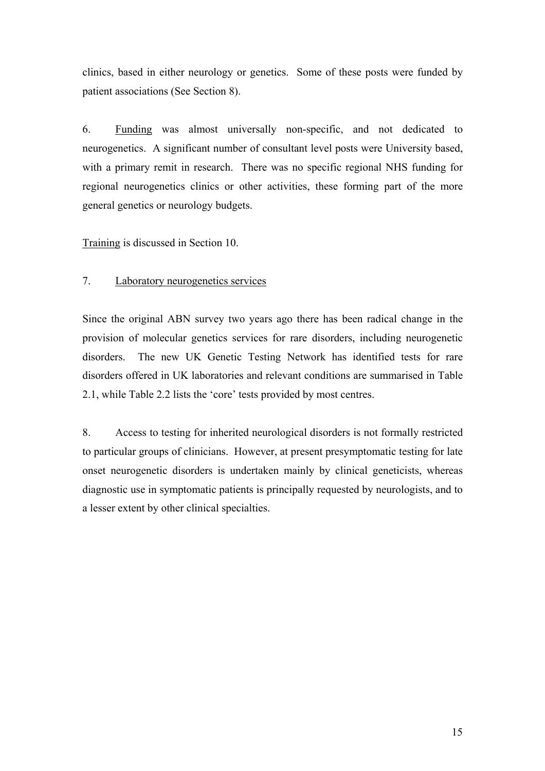clinics, based in either neurology or genetics. Some of these posts were funded by patient associations (See Section 8).

6. Funding was almost universally non-specific, and not dedicated to neurogenetics. A significant number of consultant level posts were University based, with a primary remit in research. There was no specific regional NHS funding for regional neurogenetics clinics or other activities, these forming part of the more general genetics or neurology budgets.

Training is discussed in Section 10.

#### 7. Laboratory neurogenetics services

Since the original ABN survey two years ago there has been radical change in the provision of molecular genetics services for rare disorders, including neurogenetic disorders. The new UK Genetic Testing Network has identified tests for rare disorders offered in UK laboratories and relevant conditions are summarised in Table 2.1, while Table 2.2 lists the 'core' tests provided by most centres.

8. Access to testing for inherited neurological disorders is not formally restricted to particular groups of clinicians. However, at present presymptomatic testing for late onset neurogenetic disorders is undertaken mainly by clinical geneticists, whereas diagnostic use in symptomatic patients is principally requested by neurologists, and to a lesser extent by other clinical specialties.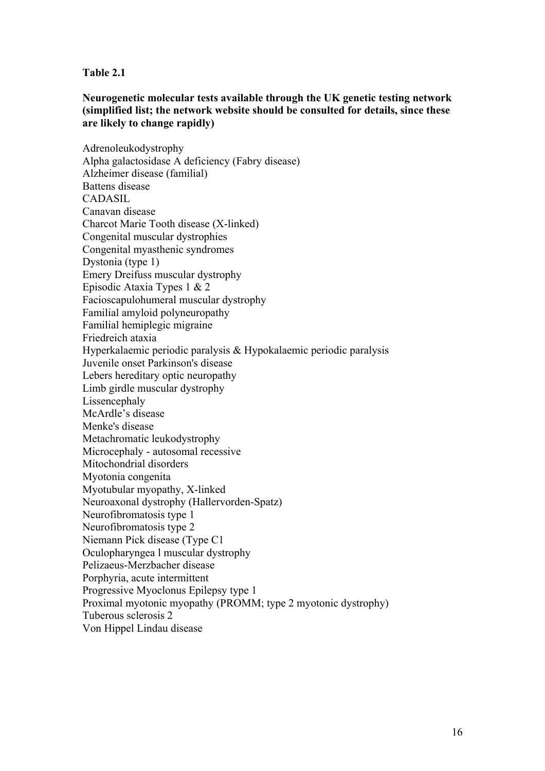#### **Table 2.1**

#### **Neurogenetic molecular tests available through the UK genetic testing network (simplified list; the network website should be consulted for details, since these are likely to change rapidly)**

Adrenoleukodystrophy Alpha galactosidase A deficiency (Fabry disease) Alzheimer disease (familial) Battens disease CADASIL Canavan disease Charcot Marie Tooth disease (X-linked) Congenital muscular dystrophies Congenital myasthenic syndromes Dystonia (type 1) Emery Dreifuss muscular dystrophy Episodic Ataxia Types 1 & 2 Facioscapulohumeral muscular dystrophy Familial amyloid polyneuropathy Familial hemiplegic migraine Friedreich ataxia Hyperkalaemic periodic paralysis & Hypokalaemic periodic paralysis Juvenile onset Parkinson's disease Lebers hereditary optic neuropathy Limb girdle muscular dystrophy Lissencephaly McArdle's disease Menke's disease Metachromatic leukodystrophy Microcephaly - autosomal recessive Mitochondrial disorders Myotonia congenita Myotubular myopathy, X-linked Neuroaxonal dystrophy (Hallervorden-Spatz) Neurofibromatosis type 1 Neurofibromatosis type 2 Niemann Pick disease (Type C1 Oculopharyngea l muscular dystrophy Pelizaeus-Merzbacher disease Porphyria, acute intermittent Progressive Myoclonus Epilepsy type 1 Proximal myotonic myopathy (PROMM; type 2 myotonic dystrophy) Tuberous sclerosis 2 Von Hippel Lindau disease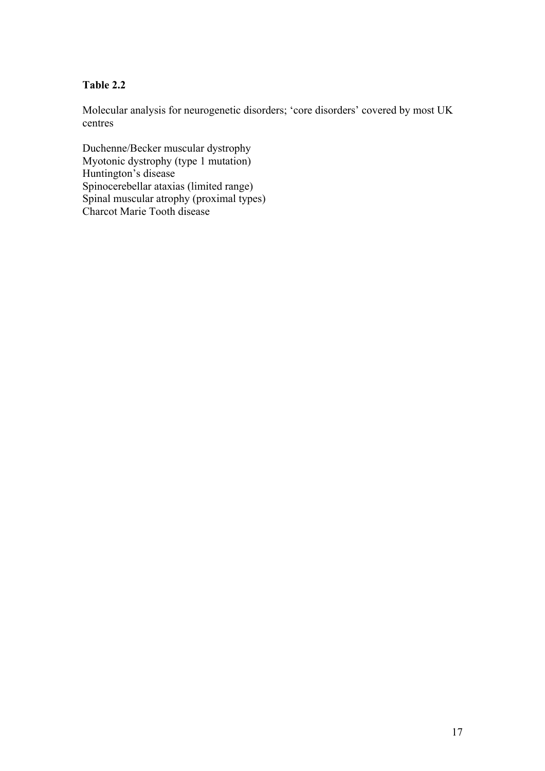#### **Table 2.2**

Molecular analysis for neurogenetic disorders; 'core disorders' covered by most UK centres

Duchenne/Becker muscular dystrophy Myotonic dystrophy (type 1 mutation) Huntington's disease Spinocerebellar ataxias (limited range) Spinal muscular atrophy (proximal types) Charcot Marie Tooth disease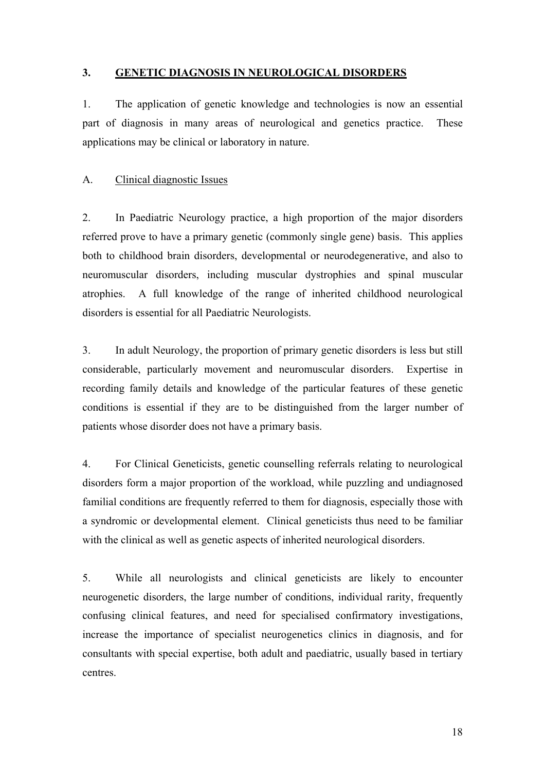#### **3. GENETIC DIAGNOSIS IN NEUROLOGICAL DISORDERS**

1. The application of genetic knowledge and technologies is now an essential part of diagnosis in many areas of neurological and genetics practice. These applications may be clinical or laboratory in nature.

#### A. Clinical diagnostic Issues

2. In Paediatric Neurology practice, a high proportion of the major disorders referred prove to have a primary genetic (commonly single gene) basis. This applies both to childhood brain disorders, developmental or neurodegenerative, and also to neuromuscular disorders, including muscular dystrophies and spinal muscular atrophies. A full knowledge of the range of inherited childhood neurological disorders is essential for all Paediatric Neurologists.

3. In adult Neurology, the proportion of primary genetic disorders is less but still considerable, particularly movement and neuromuscular disorders. Expertise in recording family details and knowledge of the particular features of these genetic conditions is essential if they are to be distinguished from the larger number of patients whose disorder does not have a primary basis.

4. For Clinical Geneticists, genetic counselling referrals relating to neurological disorders form a major proportion of the workload, while puzzling and undiagnosed familial conditions are frequently referred to them for diagnosis, especially those with a syndromic or developmental element. Clinical geneticists thus need to be familiar with the clinical as well as genetic aspects of inherited neurological disorders.

5. While all neurologists and clinical geneticists are likely to encounter neurogenetic disorders, the large number of conditions, individual rarity, frequently confusing clinical features, and need for specialised confirmatory investigations, increase the importance of specialist neurogenetics clinics in diagnosis, and for consultants with special expertise, both adult and paediatric, usually based in tertiary centres.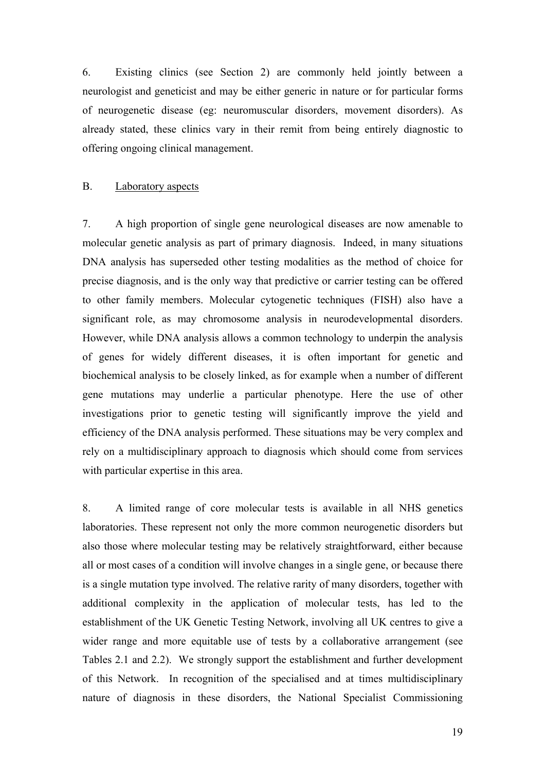6. Existing clinics (see Section 2) are commonly held jointly between a neurologist and geneticist and may be either generic in nature or for particular forms of neurogenetic disease (eg: neuromuscular disorders, movement disorders). As already stated, these clinics vary in their remit from being entirely diagnostic to offering ongoing clinical management.

#### B. Laboratory aspects

7. A high proportion of single gene neurological diseases are now amenable to molecular genetic analysis as part of primary diagnosis. Indeed, in many situations DNA analysis has superseded other testing modalities as the method of choice for precise diagnosis, and is the only way that predictive or carrier testing can be offered to other family members. Molecular cytogenetic techniques (FISH) also have a significant role, as may chromosome analysis in neurodevelopmental disorders. However, while DNA analysis allows a common technology to underpin the analysis of genes for widely different diseases, it is often important for genetic and biochemical analysis to be closely linked, as for example when a number of different gene mutations may underlie a particular phenotype. Here the use of other investigations prior to genetic testing will significantly improve the yield and efficiency of the DNA analysis performed. These situations may be very complex and rely on a multidisciplinary approach to diagnosis which should come from services with particular expertise in this area.

8. A limited range of core molecular tests is available in all NHS genetics laboratories. These represent not only the more common neurogenetic disorders but also those where molecular testing may be relatively straightforward, either because all or most cases of a condition will involve changes in a single gene, or because there is a single mutation type involved. The relative rarity of many disorders, together with additional complexity in the application of molecular tests, has led to the establishment of the UK Genetic Testing Network, involving all UK centres to give a wider range and more equitable use of tests by a collaborative arrangement (see Tables 2.1 and 2.2). We strongly support the establishment and further development of this Network. In recognition of the specialised and at times multidisciplinary nature of diagnosis in these disorders, the National Specialist Commissioning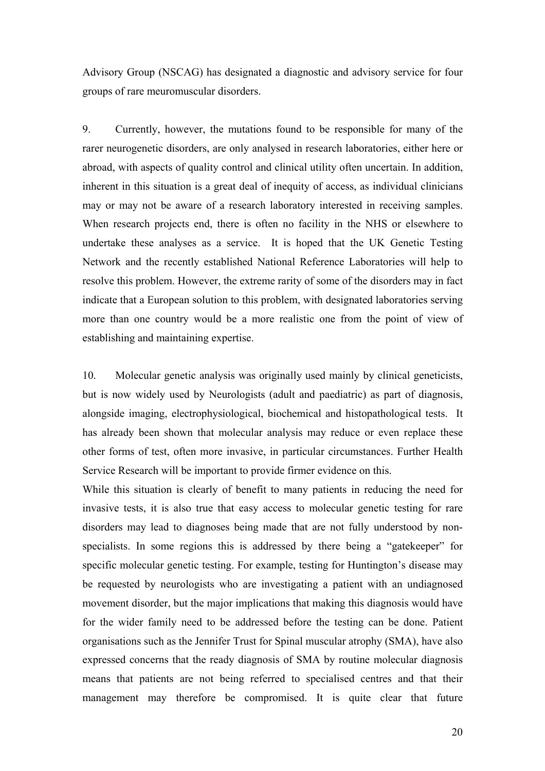Advisory Group (NSCAG) has designated a diagnostic and advisory service for four groups of rare meuromuscular disorders.

9. Currently, however, the mutations found to be responsible for many of the rarer neurogenetic disorders, are only analysed in research laboratories, either here or abroad, with aspects of quality control and clinical utility often uncertain. In addition, inherent in this situation is a great deal of inequity of access, as individual clinicians may or may not be aware of a research laboratory interested in receiving samples. When research projects end, there is often no facility in the NHS or elsewhere to undertake these analyses as a service. It is hoped that the UK Genetic Testing Network and the recently established National Reference Laboratories will help to resolve this problem. However, the extreme rarity of some of the disorders may in fact indicate that a European solution to this problem, with designated laboratories serving more than one country would be a more realistic one from the point of view of establishing and maintaining expertise.

10. Molecular genetic analysis was originally used mainly by clinical geneticists, but is now widely used by Neurologists (adult and paediatric) as part of diagnosis, alongside imaging, electrophysiological, biochemical and histopathological tests. It has already been shown that molecular analysis may reduce or even replace these other forms of test, often more invasive, in particular circumstances. Further Health Service Research will be important to provide firmer evidence on this.

While this situation is clearly of benefit to many patients in reducing the need for invasive tests, it is also true that easy access to molecular genetic testing for rare disorders may lead to diagnoses being made that are not fully understood by nonspecialists. In some regions this is addressed by there being a "gatekeeper" for specific molecular genetic testing. For example, testing for Huntington's disease may be requested by neurologists who are investigating a patient with an undiagnosed movement disorder, but the major implications that making this diagnosis would have for the wider family need to be addressed before the testing can be done. Patient organisations such as the Jennifer Trust for Spinal muscular atrophy (SMA), have also expressed concerns that the ready diagnosis of SMA by routine molecular diagnosis means that patients are not being referred to specialised centres and that their management may therefore be compromised. It is quite clear that future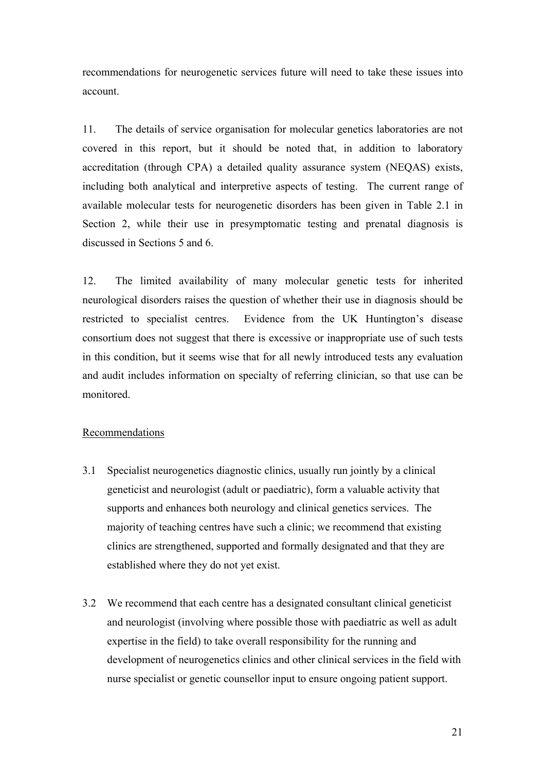recommendations for neurogenetic services future will need to take these issues into account.

11. The details of service organisation for molecular genetics laboratories are not covered in this report, but it should be noted that, in addition to laboratory accreditation (through CPA) a detailed quality assurance system (NEQAS) exists, including both analytical and interpretive aspects of testing. The current range of available molecular tests for neurogenetic disorders has been given in Table 2.1 in Section 2, while their use in presymptomatic testing and prenatal diagnosis is discussed in Sections 5 and 6.

12. The limited availability of many molecular genetic tests for inherited neurological disorders raises the question of whether their use in diagnosis should be restricted to specialist centres. Evidence from the UK Huntington's disease consortium does not suggest that there is excessive or inappropriate use of such tests in this condition, but it seems wise that for all newly introduced tests any evaluation and audit includes information on specialty of referring clinician, so that use can be monitored.

#### Recommendations

- 3.1 Specialist neurogenetics diagnostic clinics, usually run jointly by a clinical geneticist and neurologist (adult or paediatric), form a valuable activity that supports and enhances both neurology and clinical genetics services. The majority of teaching centres have such a clinic; we recommend that existing clinics are strengthened, supported and formally designated and that they are established where they do not yet exist.
- 3.2 We recommend that each centre has a designated consultant clinical geneticist and neurologist (involving where possible those with paediatric as well as adult expertise in the field) to take overall responsibility for the running and development of neurogenetics clinics and other clinical services in the field with nurse specialist or genetic counsellor input to ensure ongoing patient support.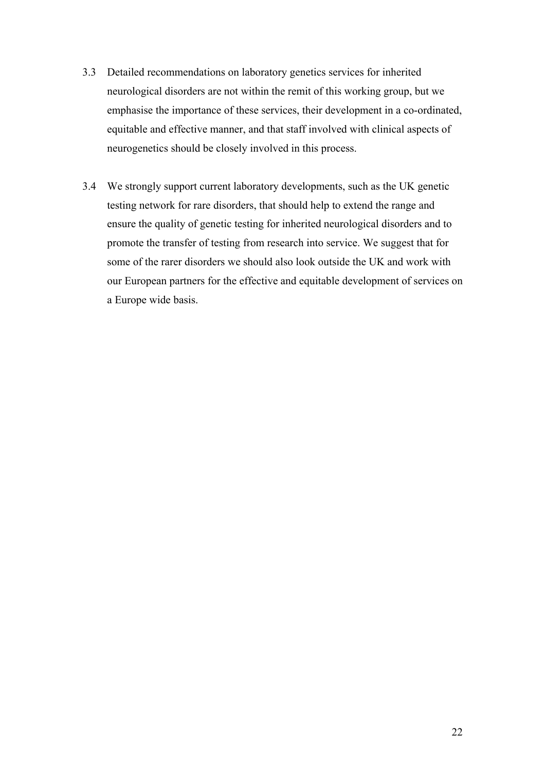- 3.3 Detailed recommendations on laboratory genetics services for inherited neurological disorders are not within the remit of this working group, but we emphasise the importance of these services, their development in a co-ordinated, equitable and effective manner, and that staff involved with clinical aspects of neurogenetics should be closely involved in this process.
- 3.4 We strongly support current laboratory developments, such as the UK genetic testing network for rare disorders, that should help to extend the range and ensure the quality of genetic testing for inherited neurological disorders and to promote the transfer of testing from research into service. We suggest that for some of the rarer disorders we should also look outside the UK and work with our European partners for the effective and equitable development of services on a Europe wide basis.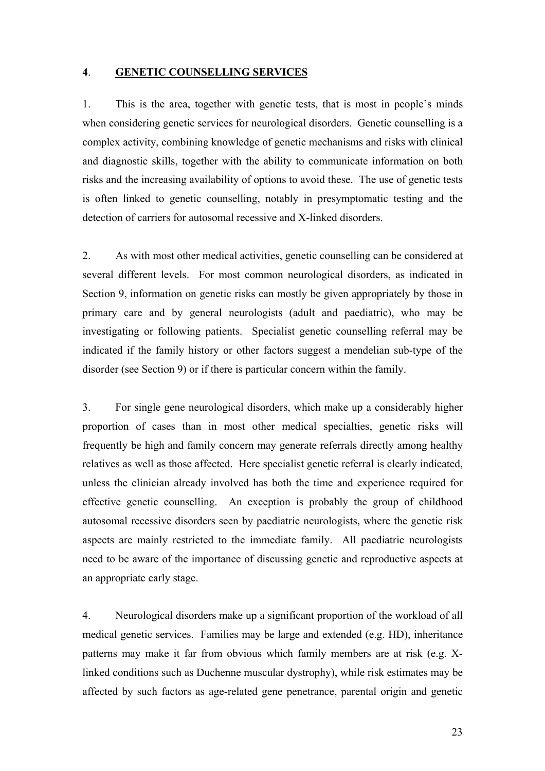#### **4**. **GENETIC COUNSELLING SERVICES**

1. This is the area, together with genetic tests, that is most in people's minds when considering genetic services for neurological disorders. Genetic counselling is a complex activity, combining knowledge of genetic mechanisms and risks with clinical and diagnostic skills, together with the ability to communicate information on both risks and the increasing availability of options to avoid these. The use of genetic tests is often linked to genetic counselling, notably in presymptomatic testing and the detection of carriers for autosomal recessive and X-linked disorders.

2. As with most other medical activities, genetic counselling can be considered at several different levels. For most common neurological disorders, as indicated in Section 9, information on genetic risks can mostly be given appropriately by those in primary care and by general neurologists (adult and paediatric), who may be investigating or following patients. Specialist genetic counselling referral may be indicated if the family history or other factors suggest a mendelian sub-type of the disorder (see Section 9) or if there is particular concern within the family.

3. For single gene neurological disorders, which make up a considerably higher proportion of cases than in most other medical specialties, genetic risks will frequently be high and family concern may generate referrals directly among healthy relatives as well as those affected. Here specialist genetic referral is clearly indicated, unless the clinician already involved has both the time and experience required for effective genetic counselling. An exception is probably the group of childhood autosomal recessive disorders seen by paediatric neurologists, where the genetic risk aspects are mainly restricted to the immediate family. All paediatric neurologists need to be aware of the importance of discussing genetic and reproductive aspects at an appropriate early stage.

4. Neurological disorders make up a significant proportion of the workload of all medical genetic services. Families may be large and extended (e.g. HD), inheritance patterns may make it far from obvious which family members are at risk (e.g. Xlinked conditions such as Duchenne muscular dystrophy), while risk estimates may be affected by such factors as age-related gene penetrance, parental origin and genetic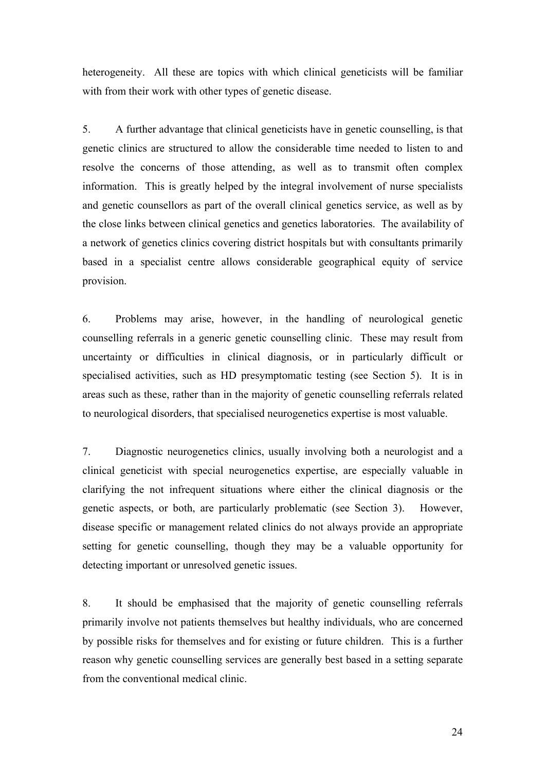heterogeneity. All these are topics with which clinical geneticists will be familiar with from their work with other types of genetic disease.

5. A further advantage that clinical geneticists have in genetic counselling, is that genetic clinics are structured to allow the considerable time needed to listen to and resolve the concerns of those attending, as well as to transmit often complex information. This is greatly helped by the integral involvement of nurse specialists and genetic counsellors as part of the overall clinical genetics service, as well as by the close links between clinical genetics and genetics laboratories. The availability of a network of genetics clinics covering district hospitals but with consultants primarily based in a specialist centre allows considerable geographical equity of service provision.

6. Problems may arise, however, in the handling of neurological genetic counselling referrals in a generic genetic counselling clinic. These may result from uncertainty or difficulties in clinical diagnosis, or in particularly difficult or specialised activities, such as HD presymptomatic testing (see Section 5). It is in areas such as these, rather than in the majority of genetic counselling referrals related to neurological disorders, that specialised neurogenetics expertise is most valuable.

7. Diagnostic neurogenetics clinics, usually involving both a neurologist and a clinical geneticist with special neurogenetics expertise, are especially valuable in clarifying the not infrequent situations where either the clinical diagnosis or the genetic aspects, or both, are particularly problematic (see Section 3). However, disease specific or management related clinics do not always provide an appropriate setting for genetic counselling, though they may be a valuable opportunity for detecting important or unresolved genetic issues.

8. It should be emphasised that the majority of genetic counselling referrals primarily involve not patients themselves but healthy individuals, who are concerned by possible risks for themselves and for existing or future children. This is a further reason why genetic counselling services are generally best based in a setting separate from the conventional medical clinic.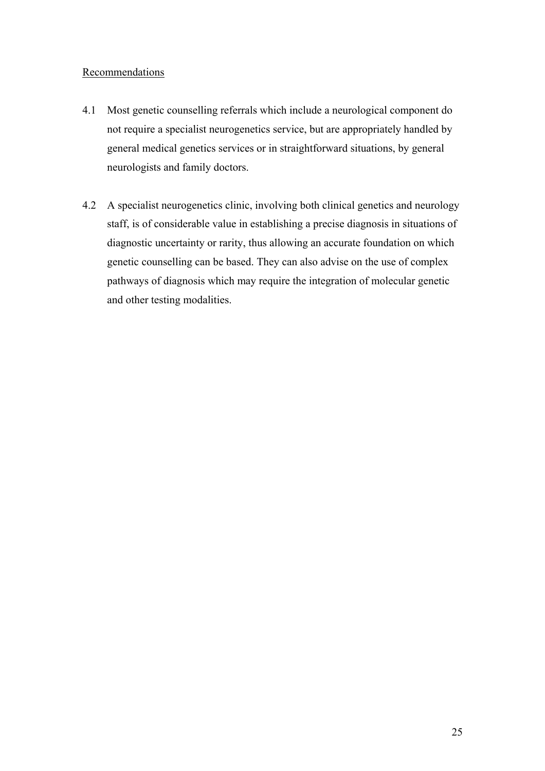#### Recommendations

- 4.1 Most genetic counselling referrals which include a neurological component do not require a specialist neurogenetics service, but are appropriately handled by general medical genetics services or in straightforward situations, by general neurologists and family doctors.
- 4.2 A specialist neurogenetics clinic, involving both clinical genetics and neurology staff, is of considerable value in establishing a precise diagnosis in situations of diagnostic uncertainty or rarity, thus allowing an accurate foundation on which genetic counselling can be based. They can also advise on the use of complex pathways of diagnosis which may require the integration of molecular genetic and other testing modalities.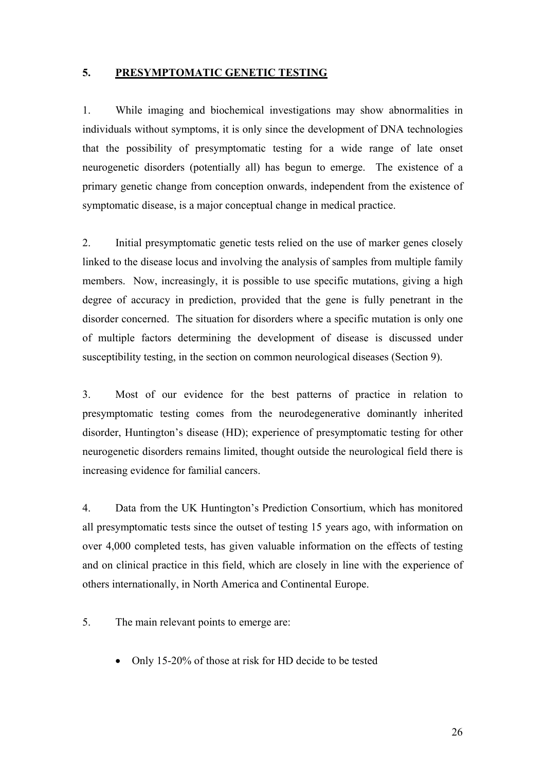#### **5. PRESYMPTOMATIC GENETIC TESTING**

1. While imaging and biochemical investigations may show abnormalities in individuals without symptoms, it is only since the development of DNA technologies that the possibility of presymptomatic testing for a wide range of late onset neurogenetic disorders (potentially all) has begun to emerge. The existence of a primary genetic change from conception onwards, independent from the existence of symptomatic disease, is a major conceptual change in medical practice.

2. Initial presymptomatic genetic tests relied on the use of marker genes closely linked to the disease locus and involving the analysis of samples from multiple family members. Now, increasingly, it is possible to use specific mutations, giving a high degree of accuracy in prediction, provided that the gene is fully penetrant in the disorder concerned. The situation for disorders where a specific mutation is only one of multiple factors determining the development of disease is discussed under susceptibility testing, in the section on common neurological diseases (Section 9).

3. Most of our evidence for the best patterns of practice in relation to presymptomatic testing comes from the neurodegenerative dominantly inherited disorder, Huntington's disease (HD); experience of presymptomatic testing for other neurogenetic disorders remains limited, thought outside the neurological field there is increasing evidence for familial cancers.

4. Data from the UK Huntington's Prediction Consortium, which has monitored all presymptomatic tests since the outset of testing 15 years ago, with information on over 4,000 completed tests, has given valuable information on the effects of testing and on clinical practice in this field, which are closely in line with the experience of others internationally, in North America and Continental Europe.

- 5. The main relevant points to emerge are:
	- Only 15-20% of those at risk for HD decide to be tested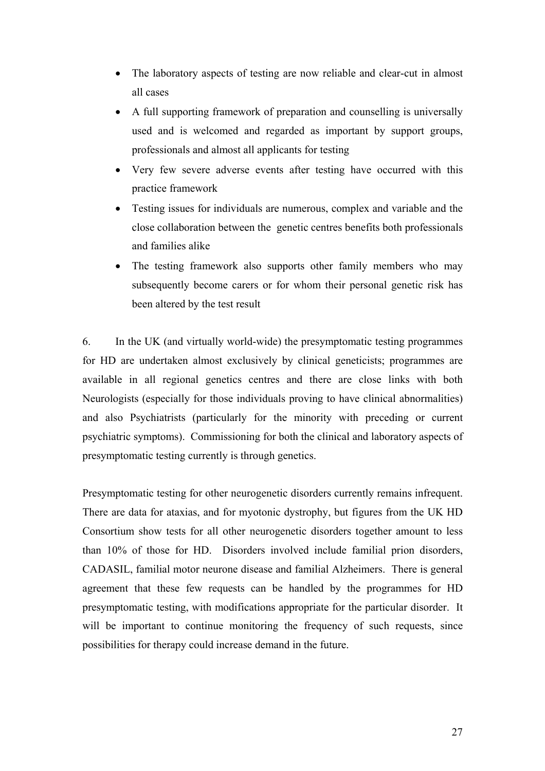- The laboratory aspects of testing are now reliable and clear-cut in almost all cases
- A full supporting framework of preparation and counselling is universally used and is welcomed and regarded as important by support groups, professionals and almost all applicants for testing
- Very few severe adverse events after testing have occurred with this practice framework
- Testing issues for individuals are numerous, complex and variable and the close collaboration between the genetic centres benefits both professionals and families alike
- The testing framework also supports other family members who may subsequently become carers or for whom their personal genetic risk has been altered by the test result

6. In the UK (and virtually world-wide) the presymptomatic testing programmes for HD are undertaken almost exclusively by clinical geneticists; programmes are available in all regional genetics centres and there are close links with both Neurologists (especially for those individuals proving to have clinical abnormalities) and also Psychiatrists (particularly for the minority with preceding or current psychiatric symptoms). Commissioning for both the clinical and laboratory aspects of presymptomatic testing currently is through genetics.

Presymptomatic testing for other neurogenetic disorders currently remains infrequent. There are data for ataxias, and for myotonic dystrophy, but figures from the UK HD Consortium show tests for all other neurogenetic disorders together amount to less than 10% of those for HD. Disorders involved include familial prion disorders, CADASIL, familial motor neurone disease and familial Alzheimers. There is general agreement that these few requests can be handled by the programmes for HD presymptomatic testing, with modifications appropriate for the particular disorder. It will be important to continue monitoring the frequency of such requests, since possibilities for therapy could increase demand in the future.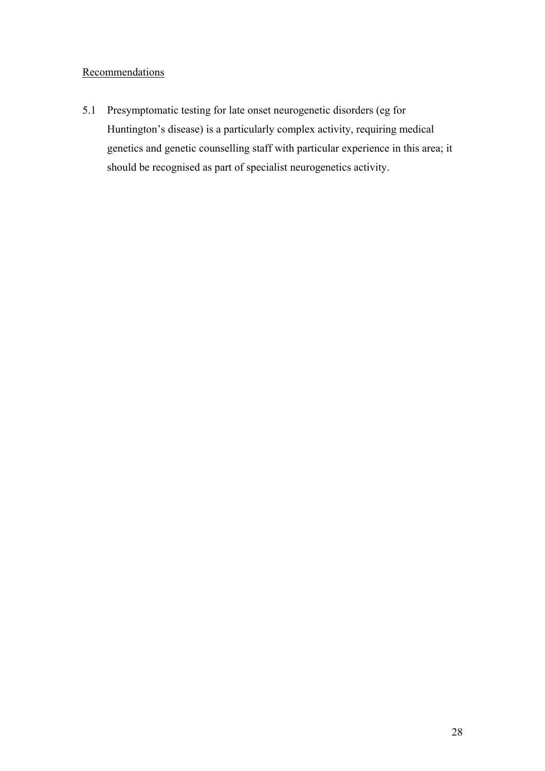#### **Recommendations**

5.1 Presymptomatic testing for late onset neurogenetic disorders (eg for Huntington's disease) is a particularly complex activity, requiring medical genetics and genetic counselling staff with particular experience in this area; it should be recognised as part of specialist neurogenetics activity.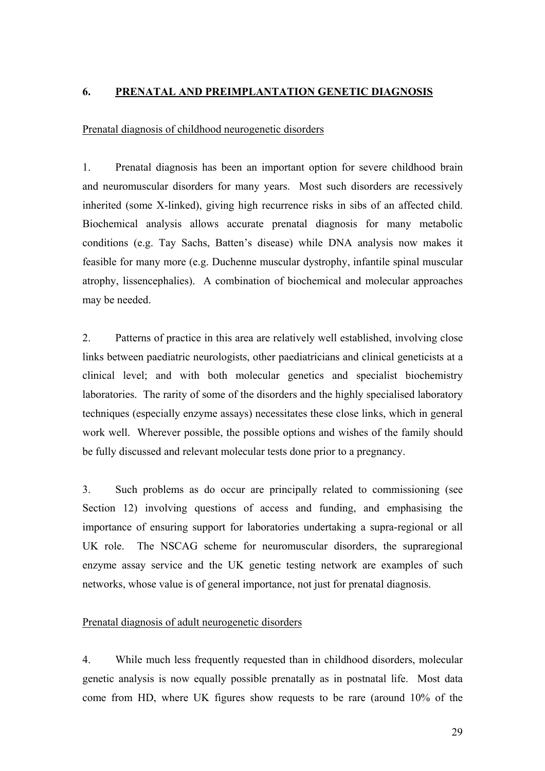#### **6. PRENATAL AND PREIMPLANTATION GENETIC DIAGNOSIS**

#### Prenatal diagnosis of childhood neurogenetic disorders

1. Prenatal diagnosis has been an important option for severe childhood brain and neuromuscular disorders for many years. Most such disorders are recessively inherited (some X-linked), giving high recurrence risks in sibs of an affected child. Biochemical analysis allows accurate prenatal diagnosis for many metabolic conditions (e.g. Tay Sachs, Batten's disease) while DNA analysis now makes it feasible for many more (e.g. Duchenne muscular dystrophy, infantile spinal muscular atrophy, lissencephalies). A combination of biochemical and molecular approaches may be needed.

2. Patterns of practice in this area are relatively well established, involving close links between paediatric neurologists, other paediatricians and clinical geneticists at a clinical level; and with both molecular genetics and specialist biochemistry laboratories. The rarity of some of the disorders and the highly specialised laboratory techniques (especially enzyme assays) necessitates these close links, which in general work well. Wherever possible, the possible options and wishes of the family should be fully discussed and relevant molecular tests done prior to a pregnancy.

3. Such problems as do occur are principally related to commissioning (see Section 12) involving questions of access and funding, and emphasising the importance of ensuring support for laboratories undertaking a supra-regional or all UK role. The NSCAG scheme for neuromuscular disorders, the supraregional enzyme assay service and the UK genetic testing network are examples of such networks, whose value is of general importance, not just for prenatal diagnosis.

#### Prenatal diagnosis of adult neurogenetic disorders

4. While much less frequently requested than in childhood disorders, molecular genetic analysis is now equally possible prenatally as in postnatal life. Most data come from HD, where UK figures show requests to be rare (around 10% of the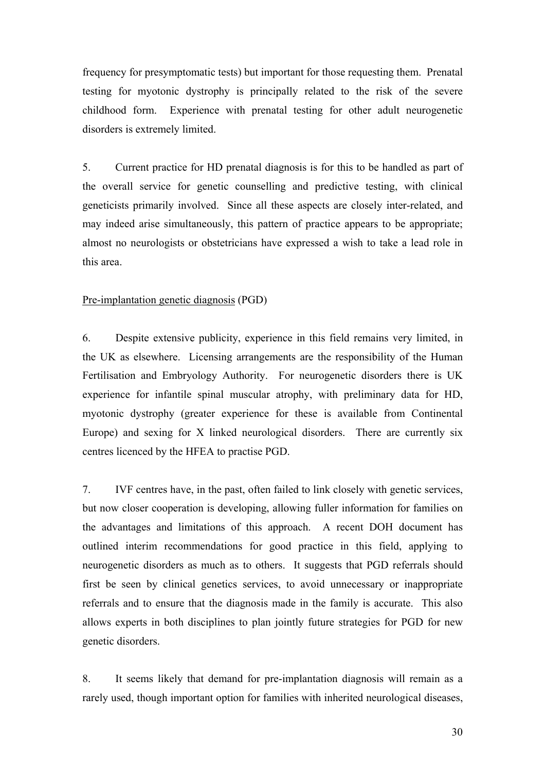frequency for presymptomatic tests) but important for those requesting them. Prenatal testing for myotonic dystrophy is principally related to the risk of the severe childhood form. Experience with prenatal testing for other adult neurogenetic disorders is extremely limited.

5. Current practice for HD prenatal diagnosis is for this to be handled as part of the overall service for genetic counselling and predictive testing, with clinical geneticists primarily involved. Since all these aspects are closely inter-related, and may indeed arise simultaneously, this pattern of practice appears to be appropriate; almost no neurologists or obstetricians have expressed a wish to take a lead role in this area.

#### Pre-implantation genetic diagnosis (PGD)

6. Despite extensive publicity, experience in this field remains very limited, in the UK as elsewhere. Licensing arrangements are the responsibility of the Human Fertilisation and Embryology Authority. For neurogenetic disorders there is UK experience for infantile spinal muscular atrophy, with preliminary data for HD, myotonic dystrophy (greater experience for these is available from Continental Europe) and sexing for X linked neurological disorders. There are currently six centres licenced by the HFEA to practise PGD.

7. IVF centres have, in the past, often failed to link closely with genetic services, but now closer cooperation is developing, allowing fuller information for families on the advantages and limitations of this approach. A recent DOH document has outlined interim recommendations for good practice in this field, applying to neurogenetic disorders as much as to others. It suggests that PGD referrals should first be seen by clinical genetics services, to avoid unnecessary or inappropriate referrals and to ensure that the diagnosis made in the family is accurate. This also allows experts in both disciplines to plan jointly future strategies for PGD for new genetic disorders.

8. It seems likely that demand for pre-implantation diagnosis will remain as a rarely used, though important option for families with inherited neurological diseases,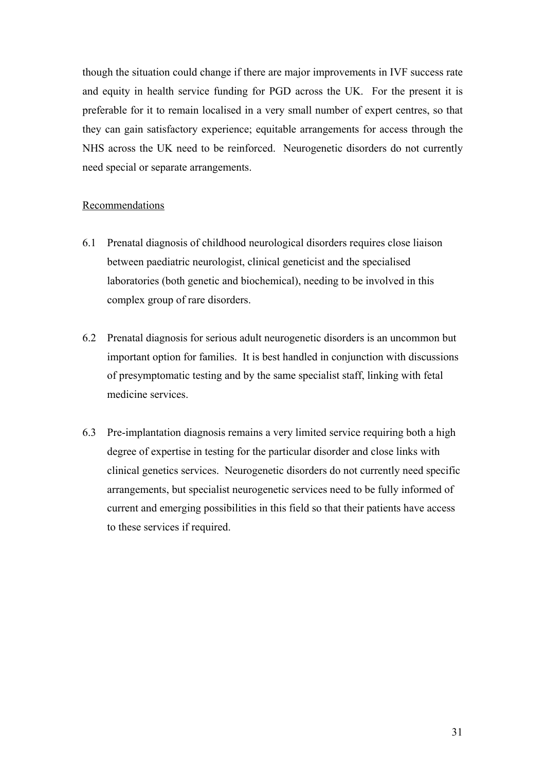though the situation could change if there are major improvements in IVF success rate and equity in health service funding for PGD across the UK. For the present it is preferable for it to remain localised in a very small number of expert centres, so that they can gain satisfactory experience; equitable arrangements for access through the NHS across the UK need to be reinforced. Neurogenetic disorders do not currently need special or separate arrangements.

#### Recommendations

- 6.1 Prenatal diagnosis of childhood neurological disorders requires close liaison between paediatric neurologist, clinical geneticist and the specialised laboratories (both genetic and biochemical), needing to be involved in this complex group of rare disorders.
- 6.2 Prenatal diagnosis for serious adult neurogenetic disorders is an uncommon but important option for families. It is best handled in conjunction with discussions of presymptomatic testing and by the same specialist staff, linking with fetal medicine services.
- 6.3 Pre-implantation diagnosis remains a very limited service requiring both a high degree of expertise in testing for the particular disorder and close links with clinical genetics services. Neurogenetic disorders do not currently need specific arrangements, but specialist neurogenetic services need to be fully informed of current and emerging possibilities in this field so that their patients have access to these services if required.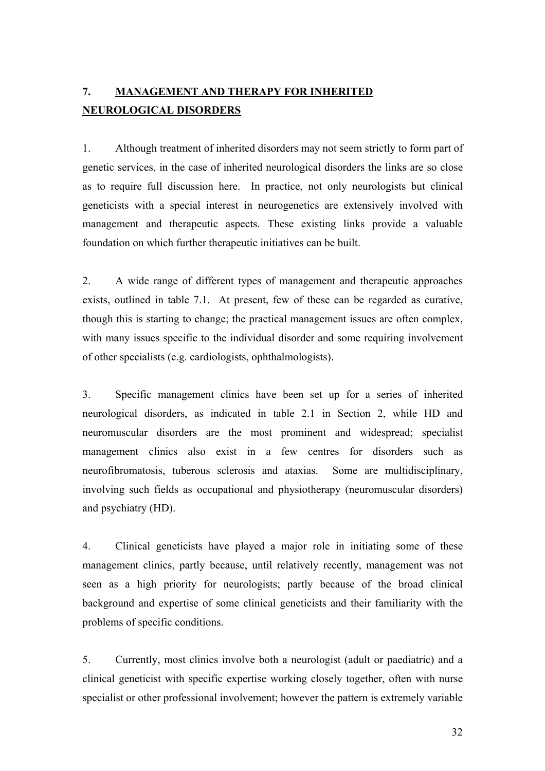## **7. MANAGEMENT AND THERAPY FOR INHERITED NEUROLOGICAL DISORDERS**

1. Although treatment of inherited disorders may not seem strictly to form part of genetic services, in the case of inherited neurological disorders the links are so close as to require full discussion here. In practice, not only neurologists but clinical geneticists with a special interest in neurogenetics are extensively involved with management and therapeutic aspects. These existing links provide a valuable foundation on which further therapeutic initiatives can be built.

2. A wide range of different types of management and therapeutic approaches exists, outlined in table 7.1. At present, few of these can be regarded as curative, though this is starting to change; the practical management issues are often complex, with many issues specific to the individual disorder and some requiring involvement of other specialists (e.g. cardiologists, ophthalmologists).

3. Specific management clinics have been set up for a series of inherited neurological disorders, as indicated in table 2.1 in Section 2, while HD and neuromuscular disorders are the most prominent and widespread; specialist management clinics also exist in a few centres for disorders such as neurofibromatosis, tuberous sclerosis and ataxias. Some are multidisciplinary, involving such fields as occupational and physiotherapy (neuromuscular disorders) and psychiatry (HD).

4. Clinical geneticists have played a major role in initiating some of these management clinics, partly because, until relatively recently, management was not seen as a high priority for neurologists; partly because of the broad clinical background and expertise of some clinical geneticists and their familiarity with the problems of specific conditions.

5. Currently, most clinics involve both a neurologist (adult or paediatric) and a clinical geneticist with specific expertise working closely together, often with nurse specialist or other professional involvement; however the pattern is extremely variable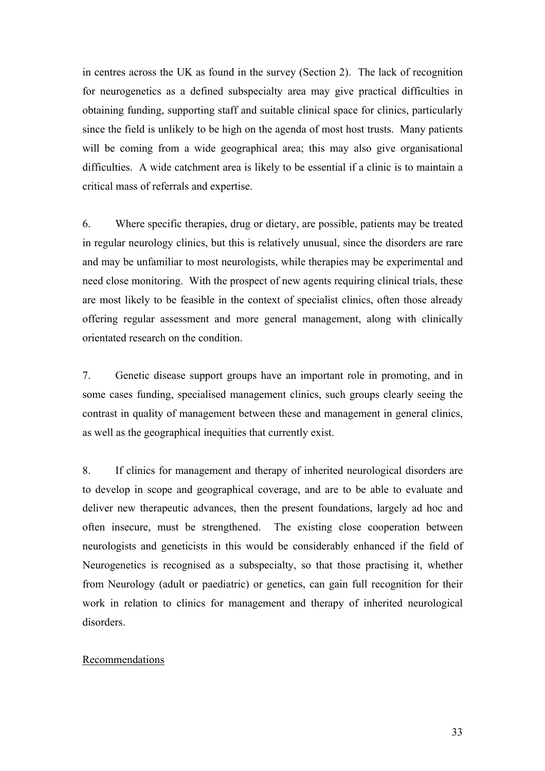in centres across the UK as found in the survey (Section 2). The lack of recognition for neurogenetics as a defined subspecialty area may give practical difficulties in obtaining funding, supporting staff and suitable clinical space for clinics, particularly since the field is unlikely to be high on the agenda of most host trusts. Many patients will be coming from a wide geographical area; this may also give organisational difficulties. A wide catchment area is likely to be essential if a clinic is to maintain a critical mass of referrals and expertise.

6. Where specific therapies, drug or dietary, are possible, patients may be treated in regular neurology clinics, but this is relatively unusual, since the disorders are rare and may be unfamiliar to most neurologists, while therapies may be experimental and need close monitoring. With the prospect of new agents requiring clinical trials, these are most likely to be feasible in the context of specialist clinics, often those already offering regular assessment and more general management, along with clinically orientated research on the condition.

7. Genetic disease support groups have an important role in promoting, and in some cases funding, specialised management clinics, such groups clearly seeing the contrast in quality of management between these and management in general clinics, as well as the geographical inequities that currently exist.

8. If clinics for management and therapy of inherited neurological disorders are to develop in scope and geographical coverage, and are to be able to evaluate and deliver new therapeutic advances, then the present foundations, largely ad hoc and often insecure, must be strengthened. The existing close cooperation between neurologists and geneticists in this would be considerably enhanced if the field of Neurogenetics is recognised as a subspecialty, so that those practising it, whether from Neurology (adult or paediatric) or genetics, can gain full recognition for their work in relation to clinics for management and therapy of inherited neurological disorders.

#### Recommendations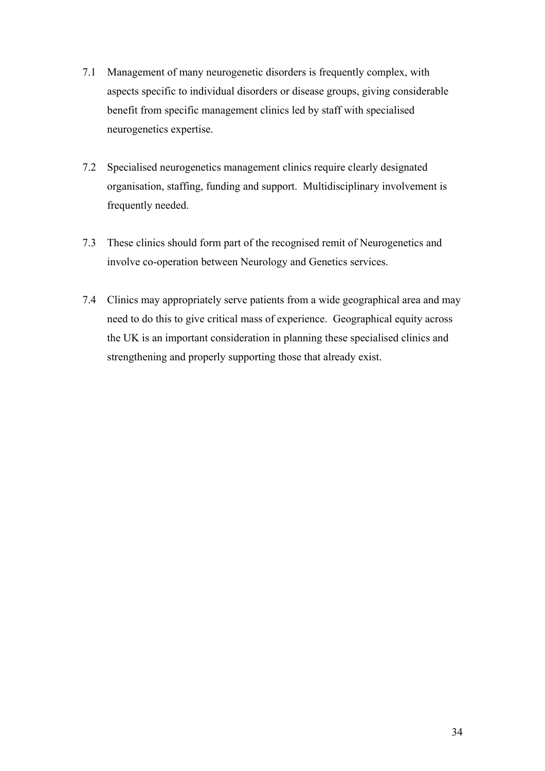- 7.1 Management of many neurogenetic disorders is frequently complex, with aspects specific to individual disorders or disease groups, giving considerable benefit from specific management clinics led by staff with specialised neurogenetics expertise.
- 7.2 Specialised neurogenetics management clinics require clearly designated organisation, staffing, funding and support. Multidisciplinary involvement is frequently needed.
- 7.3 These clinics should form part of the recognised remit of Neurogenetics and involve co-operation between Neurology and Genetics services.
- 7.4 Clinics may appropriately serve patients from a wide geographical area and may need to do this to give critical mass of experience. Geographical equity across the UK is an important consideration in planning these specialised clinics and strengthening and properly supporting those that already exist.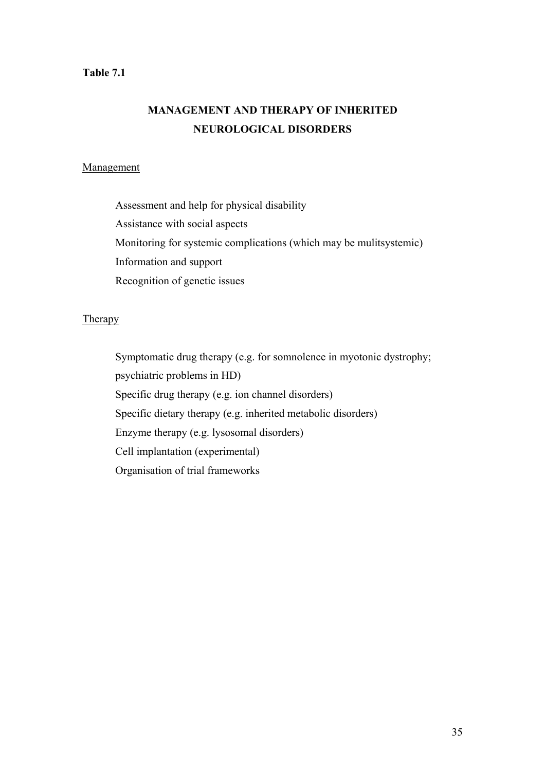#### **Table 7.1**

## **MANAGEMENT AND THERAPY OF INHERITED NEUROLOGICAL DISORDERS**

#### **Management**

 Assessment and help for physical disability Assistance with social aspects Monitoring for systemic complications (which may be mulitsystemic) Information and support Recognition of genetic issues

#### **Therapy**

Symptomatic drug therapy (e.g. for somnolence in myotonic dystrophy; psychiatric problems in HD) Specific drug therapy (e.g. ion channel disorders) Specific dietary therapy (e.g. inherited metabolic disorders) Enzyme therapy (e.g. lysosomal disorders) Cell implantation (experimental) Organisation of trial frameworks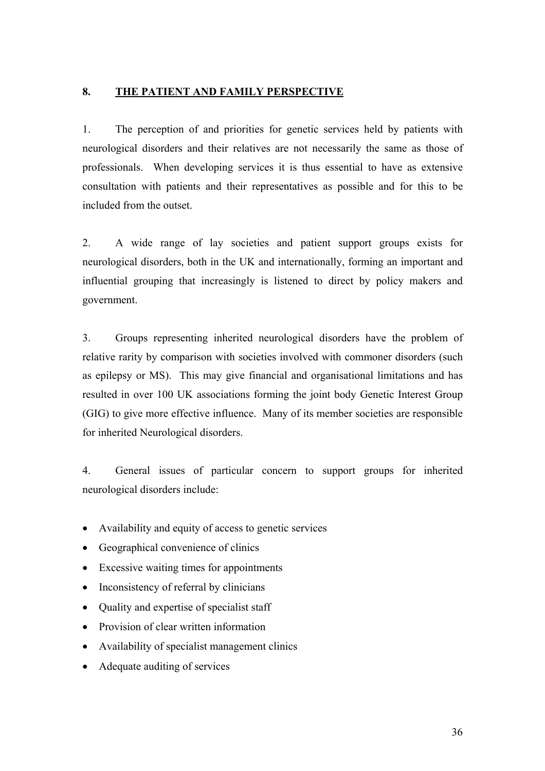#### **8. THE PATIENT AND FAMILY PERSPECTIVE**

1. The perception of and priorities for genetic services held by patients with neurological disorders and their relatives are not necessarily the same as those of professionals. When developing services it is thus essential to have as extensive consultation with patients and their representatives as possible and for this to be included from the outset.

2. A wide range of lay societies and patient support groups exists for neurological disorders, both in the UK and internationally, forming an important and influential grouping that increasingly is listened to direct by policy makers and government.

3. Groups representing inherited neurological disorders have the problem of relative rarity by comparison with societies involved with commoner disorders (such as epilepsy or MS). This may give financial and organisational limitations and has resulted in over 100 UK associations forming the joint body Genetic Interest Group (GIG) to give more effective influence. Many of its member societies are responsible for inherited Neurological disorders.

4. General issues of particular concern to support groups for inherited neurological disorders include:

- Availability and equity of access to genetic services
- Geographical convenience of clinics
- Excessive waiting times for appointments
- Inconsistency of referral by clinicians
- Quality and expertise of specialist staff
- Provision of clear written information
- Availability of specialist management clinics
- Adequate auditing of services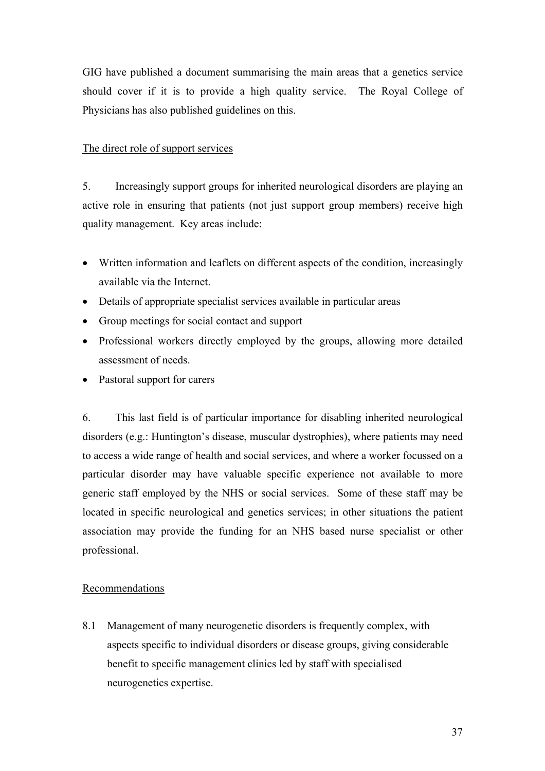GIG have published a document summarising the main areas that a genetics service should cover if it is to provide a high quality service. The Royal College of Physicians has also published guidelines on this.

#### The direct role of support services

5. Increasingly support groups for inherited neurological disorders are playing an active role in ensuring that patients (not just support group members) receive high quality management. Key areas include:

- Written information and leaflets on different aspects of the condition, increasingly available via the Internet.
- Details of appropriate specialist services available in particular areas
- Group meetings for social contact and support
- Professional workers directly employed by the groups, allowing more detailed assessment of needs.
- Pastoral support for carers

6. This last field is of particular importance for disabling inherited neurological disorders (e.g.: Huntington's disease, muscular dystrophies), where patients may need to access a wide range of health and social services, and where a worker focussed on a particular disorder may have valuable specific experience not available to more generic staff employed by the NHS or social services. Some of these staff may be located in specific neurological and genetics services; in other situations the patient association may provide the funding for an NHS based nurse specialist or other professional.

#### Recommendations

8.1 Management of many neurogenetic disorders is frequently complex, with aspects specific to individual disorders or disease groups, giving considerable benefit to specific management clinics led by staff with specialised neurogenetics expertise.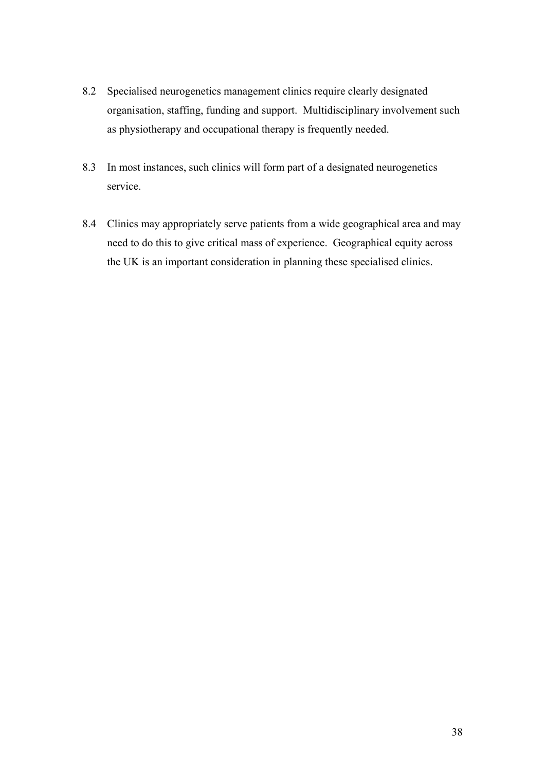- 8.2 Specialised neurogenetics management clinics require clearly designated organisation, staffing, funding and support. Multidisciplinary involvement such as physiotherapy and occupational therapy is frequently needed.
- 8.3 In most instances, such clinics will form part of a designated neurogenetics service.
- 8.4 Clinics may appropriately serve patients from a wide geographical area and may need to do this to give critical mass of experience. Geographical equity across the UK is an important consideration in planning these specialised clinics.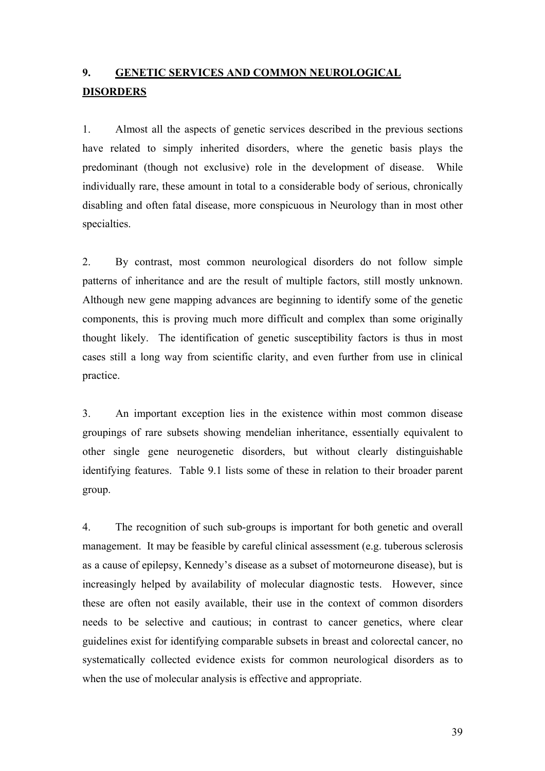## **9. GENETIC SERVICES AND COMMON NEUROLOGICAL DISORDERS**

1. Almost all the aspects of genetic services described in the previous sections have related to simply inherited disorders, where the genetic basis plays the predominant (though not exclusive) role in the development of disease. While individually rare, these amount in total to a considerable body of serious, chronically disabling and often fatal disease, more conspicuous in Neurology than in most other specialties.

2. By contrast, most common neurological disorders do not follow simple patterns of inheritance and are the result of multiple factors, still mostly unknown. Although new gene mapping advances are beginning to identify some of the genetic components, this is proving much more difficult and complex than some originally thought likely. The identification of genetic susceptibility factors is thus in most cases still a long way from scientific clarity, and even further from use in clinical practice.

3. An important exception lies in the existence within most common disease groupings of rare subsets showing mendelian inheritance, essentially equivalent to other single gene neurogenetic disorders, but without clearly distinguishable identifying features. Table 9.1 lists some of these in relation to their broader parent group.

4. The recognition of such sub-groups is important for both genetic and overall management. It may be feasible by careful clinical assessment (e.g. tuberous sclerosis as a cause of epilepsy, Kennedy's disease as a subset of motorneurone disease), but is increasingly helped by availability of molecular diagnostic tests. However, since these are often not easily available, their use in the context of common disorders needs to be selective and cautious; in contrast to cancer genetics, where clear guidelines exist for identifying comparable subsets in breast and colorectal cancer, no systematically collected evidence exists for common neurological disorders as to when the use of molecular analysis is effective and appropriate.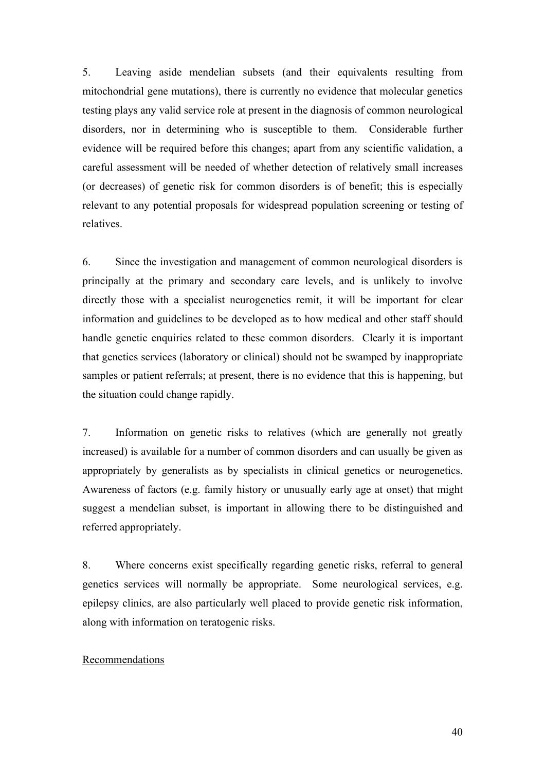5. Leaving aside mendelian subsets (and their equivalents resulting from mitochondrial gene mutations), there is currently no evidence that molecular genetics testing plays any valid service role at present in the diagnosis of common neurological disorders, nor in determining who is susceptible to them. Considerable further evidence will be required before this changes; apart from any scientific validation, a careful assessment will be needed of whether detection of relatively small increases (or decreases) of genetic risk for common disorders is of benefit; this is especially relevant to any potential proposals for widespread population screening or testing of relatives.

6. Since the investigation and management of common neurological disorders is principally at the primary and secondary care levels, and is unlikely to involve directly those with a specialist neurogenetics remit, it will be important for clear information and guidelines to be developed as to how medical and other staff should handle genetic enquiries related to these common disorders. Clearly it is important that genetics services (laboratory or clinical) should not be swamped by inappropriate samples or patient referrals; at present, there is no evidence that this is happening, but the situation could change rapidly.

7. Information on genetic risks to relatives (which are generally not greatly increased) is available for a number of common disorders and can usually be given as appropriately by generalists as by specialists in clinical genetics or neurogenetics. Awareness of factors (e.g. family history or unusually early age at onset) that might suggest a mendelian subset, is important in allowing there to be distinguished and referred appropriately.

8. Where concerns exist specifically regarding genetic risks, referral to general genetics services will normally be appropriate. Some neurological services, e.g. epilepsy clinics, are also particularly well placed to provide genetic risk information, along with information on teratogenic risks.

#### Recommendations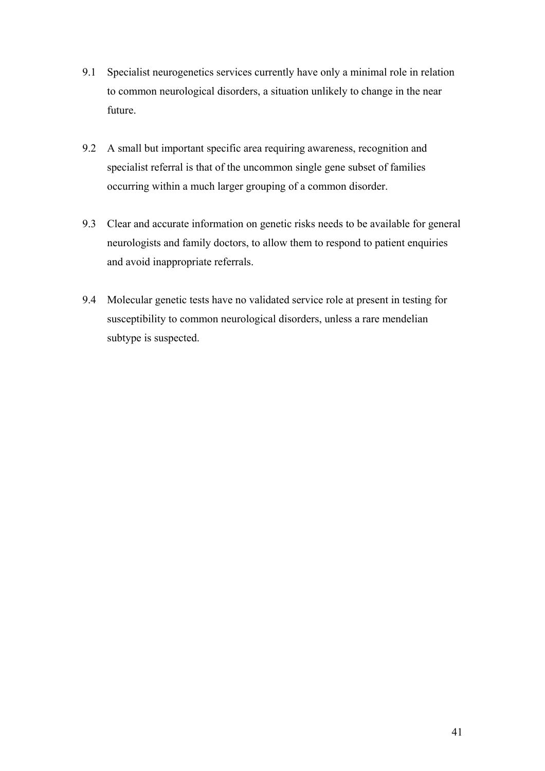- 9.1 Specialist neurogenetics services currently have only a minimal role in relation to common neurological disorders, a situation unlikely to change in the near future.
- 9.2 A small but important specific area requiring awareness, recognition and specialist referral is that of the uncommon single gene subset of families occurring within a much larger grouping of a common disorder.
- 9.3 Clear and accurate information on genetic risks needs to be available for general neurologists and family doctors, to allow them to respond to patient enquiries and avoid inappropriate referrals.
- 9.4 Molecular genetic tests have no validated service role at present in testing for susceptibility to common neurological disorders, unless a rare mendelian subtype is suspected.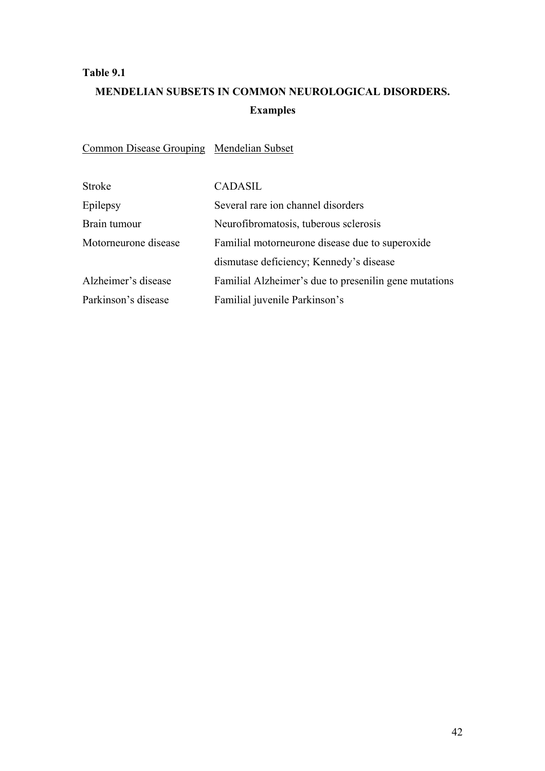#### **Table 9.1**

## **MENDELIAN SUBSETS IN COMMON NEUROLOGICAL DISORDERS. Examples**

Common Disease Grouping Mendelian Subset

| <b>Stroke</b>        | <b>CADASIL</b>                                        |
|----------------------|-------------------------------------------------------|
| Epilepsy             | Several rare ion channel disorders                    |
| Brain tumour         | Neurofibromatosis, tuberous sclerosis                 |
| Motorneurone disease | Familial motorneurone disease due to superoxide       |
|                      | dismutase deficiency; Kennedy's disease               |
| Alzheimer's disease  | Familial Alzheimer's due to presenilin gene mutations |
| Parkinson's disease  | Familial juvenile Parkinson's                         |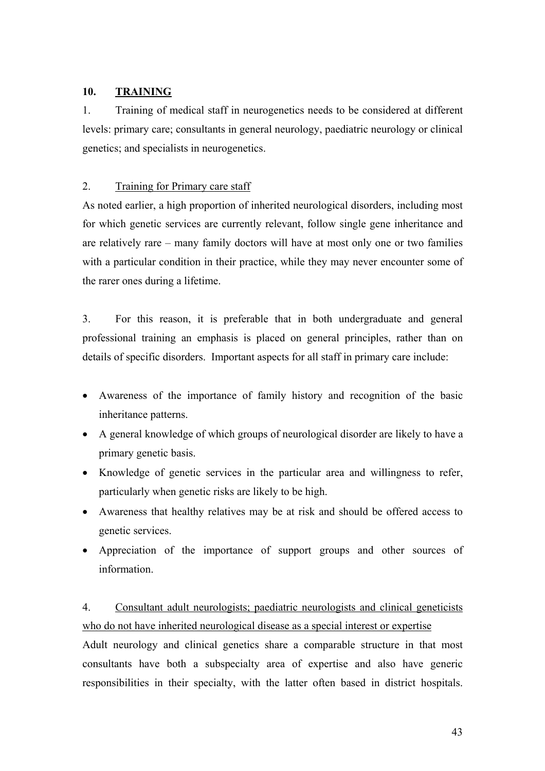#### **10. TRAINING**

1. Training of medical staff in neurogenetics needs to be considered at different levels: primary care; consultants in general neurology, paediatric neurology or clinical genetics; and specialists in neurogenetics.

#### 2. Training for Primary care staff

As noted earlier, a high proportion of inherited neurological disorders, including most for which genetic services are currently relevant, follow single gene inheritance and are relatively rare – many family doctors will have at most only one or two families with a particular condition in their practice, while they may never encounter some of the rarer ones during a lifetime.

3. For this reason, it is preferable that in both undergraduate and general professional training an emphasis is placed on general principles, rather than on details of specific disorders. Important aspects for all staff in primary care include:

- Awareness of the importance of family history and recognition of the basic inheritance patterns.
- A general knowledge of which groups of neurological disorder are likely to have a primary genetic basis.
- Knowledge of genetic services in the particular area and willingness to refer, particularly when genetic risks are likely to be high.
- Awareness that healthy relatives may be at risk and should be offered access to genetic services.
- Appreciation of the importance of support groups and other sources of information.

### 4. Consultant adult neurologists; paediatric neurologists and clinical geneticists who do not have inherited neurological disease as a special interest or expertise

Adult neurology and clinical genetics share a comparable structure in that most consultants have both a subspecialty area of expertise and also have generic responsibilities in their specialty, with the latter often based in district hospitals.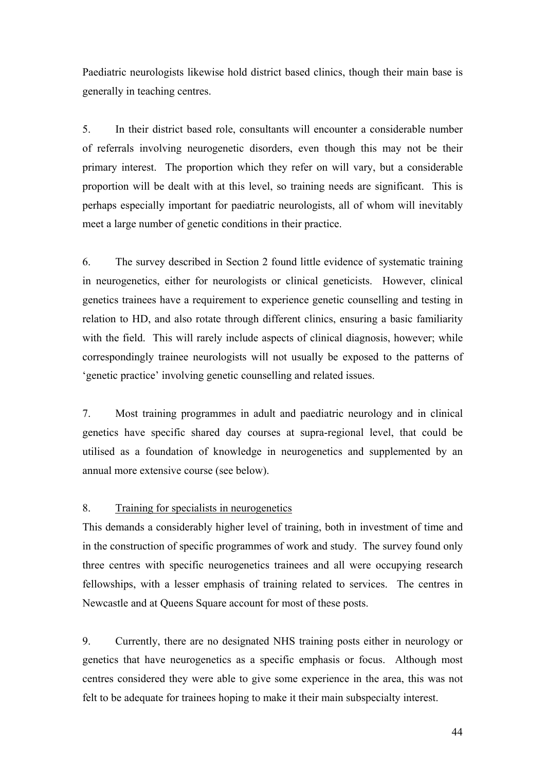Paediatric neurologists likewise hold district based clinics, though their main base is generally in teaching centres.

5. In their district based role, consultants will encounter a considerable number of referrals involving neurogenetic disorders, even though this may not be their primary interest. The proportion which they refer on will vary, but a considerable proportion will be dealt with at this level, so training needs are significant. This is perhaps especially important for paediatric neurologists, all of whom will inevitably meet a large number of genetic conditions in their practice.

6. The survey described in Section 2 found little evidence of systematic training in neurogenetics, either for neurologists or clinical geneticists. However, clinical genetics trainees have a requirement to experience genetic counselling and testing in relation to HD, and also rotate through different clinics, ensuring a basic familiarity with the field. This will rarely include aspects of clinical diagnosis, however; while correspondingly trainee neurologists will not usually be exposed to the patterns of 'genetic practice' involving genetic counselling and related issues.

7. Most training programmes in adult and paediatric neurology and in clinical genetics have specific shared day courses at supra-regional level, that could be utilised as a foundation of knowledge in neurogenetics and supplemented by an annual more extensive course (see below).

#### 8. Training for specialists in neurogenetics

This demands a considerably higher level of training, both in investment of time and in the construction of specific programmes of work and study. The survey found only three centres with specific neurogenetics trainees and all were occupying research fellowships, with a lesser emphasis of training related to services. The centres in Newcastle and at Queens Square account for most of these posts.

9. Currently, there are no designated NHS training posts either in neurology or genetics that have neurogenetics as a specific emphasis or focus. Although most centres considered they were able to give some experience in the area, this was not felt to be adequate for trainees hoping to make it their main subspecialty interest.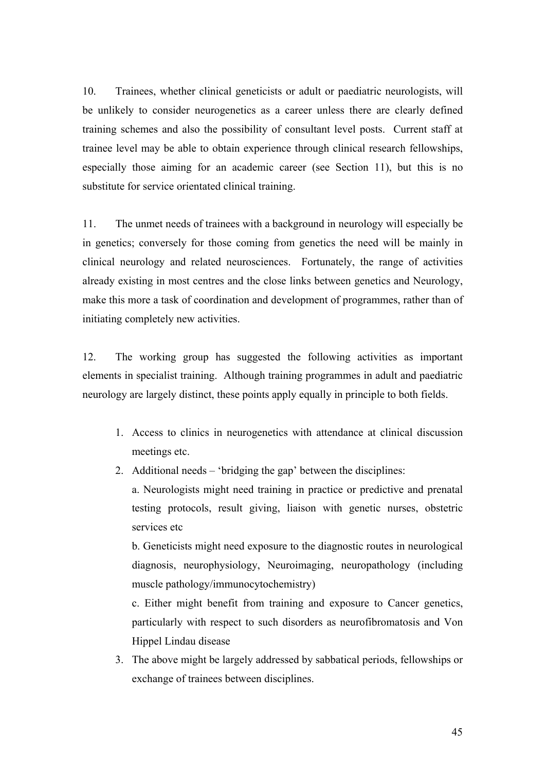10. Trainees, whether clinical geneticists or adult or paediatric neurologists, will be unlikely to consider neurogenetics as a career unless there are clearly defined training schemes and also the possibility of consultant level posts. Current staff at trainee level may be able to obtain experience through clinical research fellowships, especially those aiming for an academic career (see Section 11), but this is no substitute for service orientated clinical training.

11. The unmet needs of trainees with a background in neurology will especially be in genetics; conversely for those coming from genetics the need will be mainly in clinical neurology and related neurosciences. Fortunately, the range of activities already existing in most centres and the close links between genetics and Neurology, make this more a task of coordination and development of programmes, rather than of initiating completely new activities.

12. The working group has suggested the following activities as important elements in specialist training. Although training programmes in adult and paediatric neurology are largely distinct, these points apply equally in principle to both fields.

- 1. Access to clinics in neurogenetics with attendance at clinical discussion meetings etc.
- 2. Additional needs 'bridging the gap' between the disciplines:

a. Neurologists might need training in practice or predictive and prenatal testing protocols, result giving, liaison with genetic nurses, obstetric services etc

b. Geneticists might need exposure to the diagnostic routes in neurological diagnosis, neurophysiology, Neuroimaging, neuropathology (including muscle pathology/immunocytochemistry)

c. Either might benefit from training and exposure to Cancer genetics, particularly with respect to such disorders as neurofibromatosis and Von Hippel Lindau disease

3. The above might be largely addressed by sabbatical periods, fellowships or exchange of trainees between disciplines.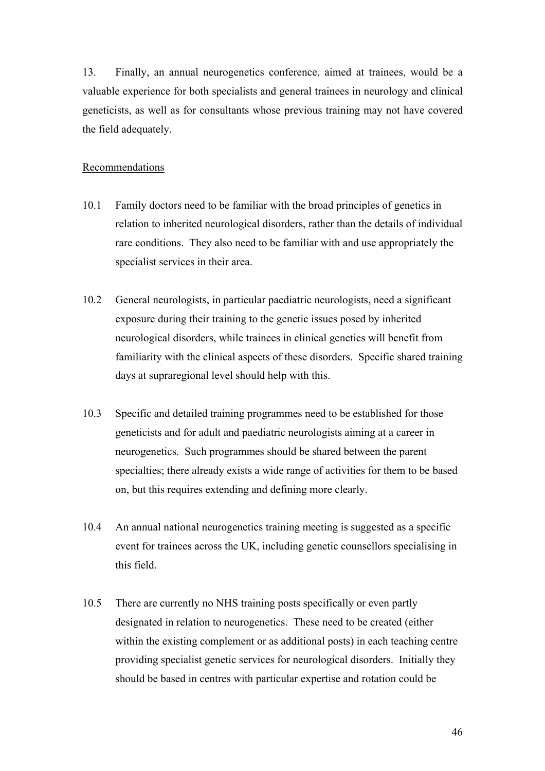13. Finally, an annual neurogenetics conference, aimed at trainees, would be a valuable experience for both specialists and general trainees in neurology and clinical geneticists, as well as for consultants whose previous training may not have covered the field adequately.

#### Recommendations

- 10.1 Family doctors need to be familiar with the broad principles of genetics in relation to inherited neurological disorders, rather than the details of individual rare conditions. They also need to be familiar with and use appropriately the specialist services in their area.
- 10.2 General neurologists, in particular paediatric neurologists, need a significant exposure during their training to the genetic issues posed by inherited neurological disorders, while trainees in clinical genetics will benefit from familiarity with the clinical aspects of these disorders. Specific shared training days at supraregional level should help with this.
- 10.3 Specific and detailed training programmes need to be established for those geneticists and for adult and paediatric neurologists aiming at a career in neurogenetics. Such programmes should be shared between the parent specialties; there already exists a wide range of activities for them to be based on, but this requires extending and defining more clearly.
- 10.4 An annual national neurogenetics training meeting is suggested as a specific event for trainees across the UK, including genetic counsellors specialising in this field.
- 10.5 There are currently no NHS training posts specifically or even partly designated in relation to neurogenetics. These need to be created (either within the existing complement or as additional posts) in each teaching centre providing specialist genetic services for neurological disorders. Initially they should be based in centres with particular expertise and rotation could be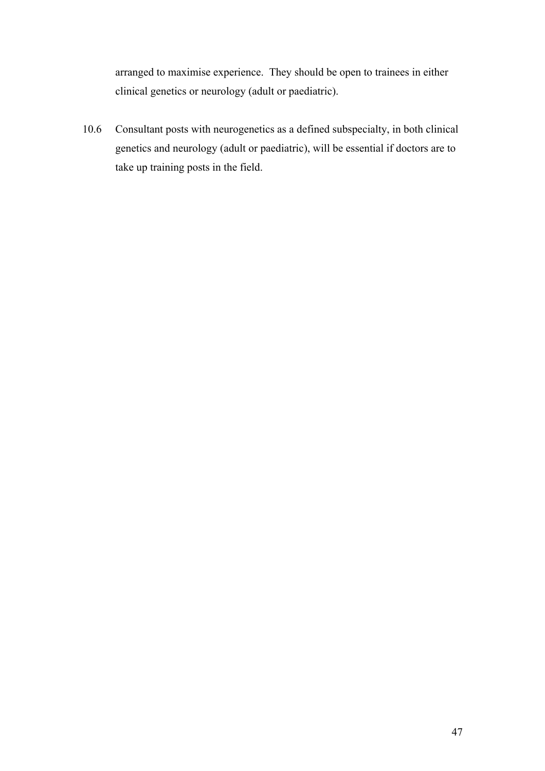arranged to maximise experience. They should be open to trainees in either clinical genetics or neurology (adult or paediatric).

10.6 Consultant posts with neurogenetics as a defined subspecialty, in both clinical genetics and neurology (adult or paediatric), will be essential if doctors are to take up training posts in the field.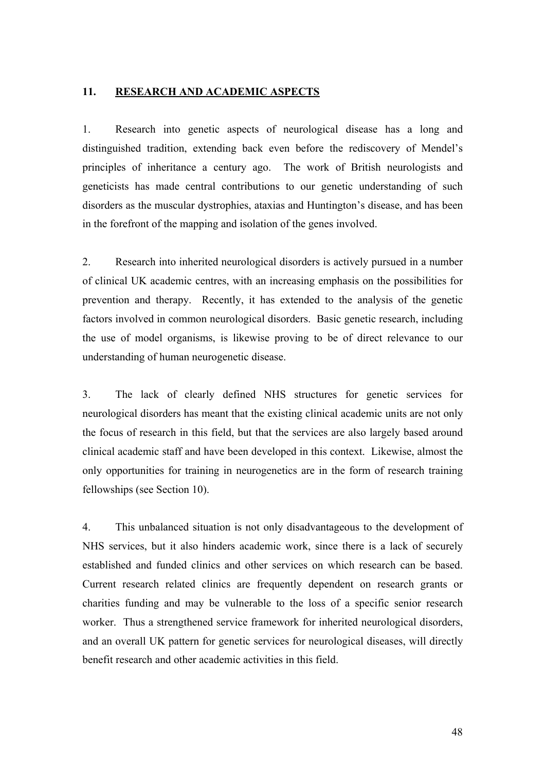#### **11. RESEARCH AND ACADEMIC ASPECTS**

1. Research into genetic aspects of neurological disease has a long and distinguished tradition, extending back even before the rediscovery of Mendel's principles of inheritance a century ago. The work of British neurologists and geneticists has made central contributions to our genetic understanding of such disorders as the muscular dystrophies, ataxias and Huntington's disease, and has been in the forefront of the mapping and isolation of the genes involved.

2. Research into inherited neurological disorders is actively pursued in a number of clinical UK academic centres, with an increasing emphasis on the possibilities for prevention and therapy. Recently, it has extended to the analysis of the genetic factors involved in common neurological disorders. Basic genetic research, including the use of model organisms, is likewise proving to be of direct relevance to our understanding of human neurogenetic disease.

3. The lack of clearly defined NHS structures for genetic services for neurological disorders has meant that the existing clinical academic units are not only the focus of research in this field, but that the services are also largely based around clinical academic staff and have been developed in this context. Likewise, almost the only opportunities for training in neurogenetics are in the form of research training fellowships (see Section 10).

4. This unbalanced situation is not only disadvantageous to the development of NHS services, but it also hinders academic work, since there is a lack of securely established and funded clinics and other services on which research can be based. Current research related clinics are frequently dependent on research grants or charities funding and may be vulnerable to the loss of a specific senior research worker. Thus a strengthened service framework for inherited neurological disorders, and an overall UK pattern for genetic services for neurological diseases, will directly benefit research and other academic activities in this field.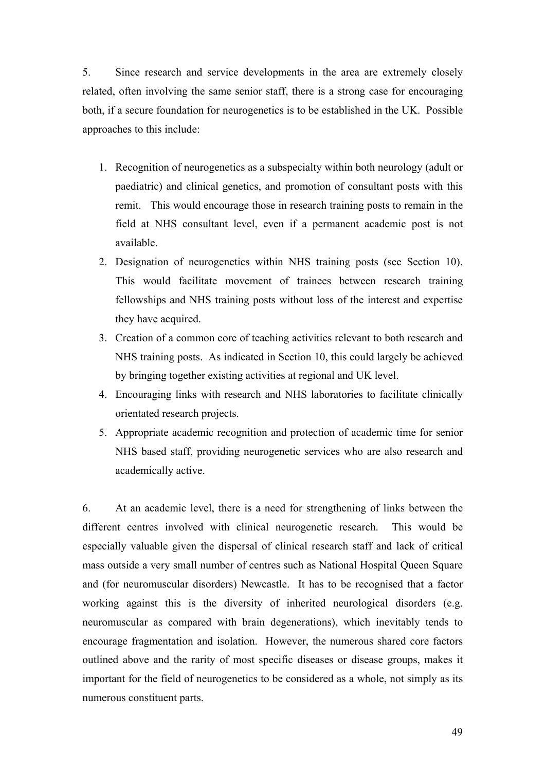5. Since research and service developments in the area are extremely closely related, often involving the same senior staff, there is a strong case for encouraging both, if a secure foundation for neurogenetics is to be established in the UK. Possible approaches to this include:

- 1. Recognition of neurogenetics as a subspecialty within both neurology (adult or paediatric) and clinical genetics, and promotion of consultant posts with this remit. This would encourage those in research training posts to remain in the field at NHS consultant level, even if a permanent academic post is not available.
- 2. Designation of neurogenetics within NHS training posts (see Section 10). This would facilitate movement of trainees between research training fellowships and NHS training posts without loss of the interest and expertise they have acquired.
- 3. Creation of a common core of teaching activities relevant to both research and NHS training posts. As indicated in Section 10, this could largely be achieved by bringing together existing activities at regional and UK level.
- 4. Encouraging links with research and NHS laboratories to facilitate clinically orientated research projects.
- 5. Appropriate academic recognition and protection of academic time for senior NHS based staff, providing neurogenetic services who are also research and academically active.

6. At an academic level, there is a need for strengthening of links between the different centres involved with clinical neurogenetic research. This would be especially valuable given the dispersal of clinical research staff and lack of critical mass outside a very small number of centres such as National Hospital Queen Square and (for neuromuscular disorders) Newcastle. It has to be recognised that a factor working against this is the diversity of inherited neurological disorders (e.g. neuromuscular as compared with brain degenerations), which inevitably tends to encourage fragmentation and isolation. However, the numerous shared core factors outlined above and the rarity of most specific diseases or disease groups, makes it important for the field of neurogenetics to be considered as a whole, not simply as its numerous constituent parts.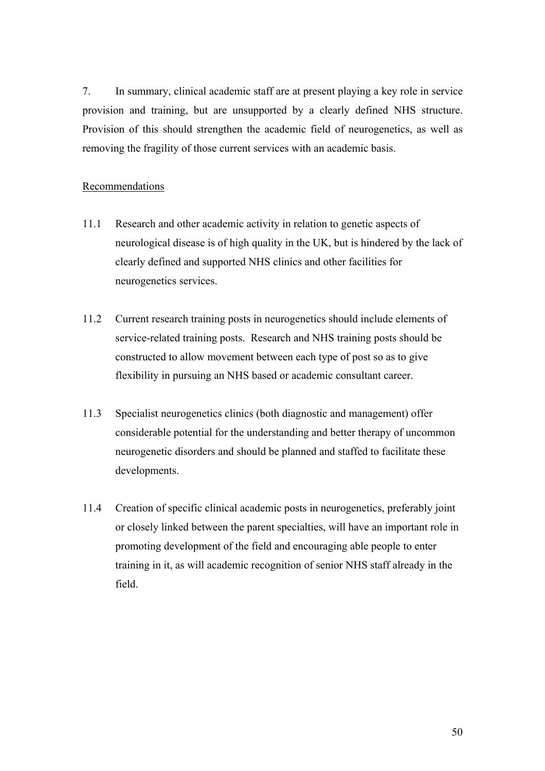7. In summary, clinical academic staff are at present playing a key role in service provision and training, but are unsupported by a clearly defined NHS structure. Provision of this should strengthen the academic field of neurogenetics, as well as removing the fragility of those current services with an academic basis.

#### Recommendations

- 11.1 Research and other academic activity in relation to genetic aspects of neurological disease is of high quality in the UK, but is hindered by the lack of clearly defined and supported NHS clinics and other facilities for neurogenetics services.
- 11.2 Current research training posts in neurogenetics should include elements of service-related training posts. Research and NHS training posts should be constructed to allow movement between each type of post so as to give flexibility in pursuing an NHS based or academic consultant career.
- 11.3 Specialist neurogenetics clinics (both diagnostic and management) offer considerable potential for the understanding and better therapy of uncommon neurogenetic disorders and should be planned and staffed to facilitate these developments.
- 11.4 Creation of specific clinical academic posts in neurogenetics, preferably joint or closely linked between the parent specialties, will have an important role in promoting development of the field and encouraging able people to enter training in it, as will academic recognition of senior NHS staff already in the field.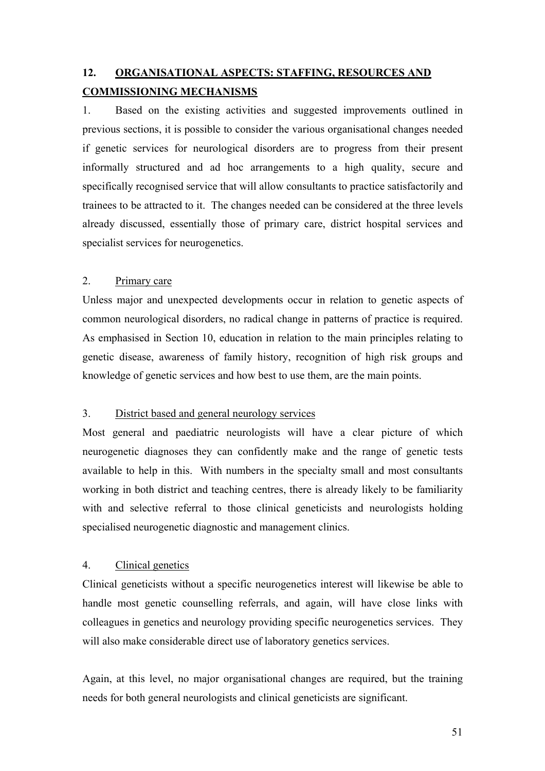## **12. ORGANISATIONAL ASPECTS: STAFFING, RESOURCES AND COMMISSIONING MECHANISMS**

1. Based on the existing activities and suggested improvements outlined in previous sections, it is possible to consider the various organisational changes needed if genetic services for neurological disorders are to progress from their present informally structured and ad hoc arrangements to a high quality, secure and specifically recognised service that will allow consultants to practice satisfactorily and trainees to be attracted to it. The changes needed can be considered at the three levels already discussed, essentially those of primary care, district hospital services and specialist services for neurogenetics.

#### 2. Primary care

Unless major and unexpected developments occur in relation to genetic aspects of common neurological disorders, no radical change in patterns of practice is required. As emphasised in Section 10, education in relation to the main principles relating to genetic disease, awareness of family history, recognition of high risk groups and knowledge of genetic services and how best to use them, are the main points.

#### 3. District based and general neurology services

Most general and paediatric neurologists will have a clear picture of which neurogenetic diagnoses they can confidently make and the range of genetic tests available to help in this. With numbers in the specialty small and most consultants working in both district and teaching centres, there is already likely to be familiarity with and selective referral to those clinical geneticists and neurologists holding specialised neurogenetic diagnostic and management clinics.

#### 4. Clinical genetics

Clinical geneticists without a specific neurogenetics interest will likewise be able to handle most genetic counselling referrals, and again, will have close links with colleagues in genetics and neurology providing specific neurogenetics services. They will also make considerable direct use of laboratory genetics services.

Again, at this level, no major organisational changes are required, but the training needs for both general neurologists and clinical geneticists are significant.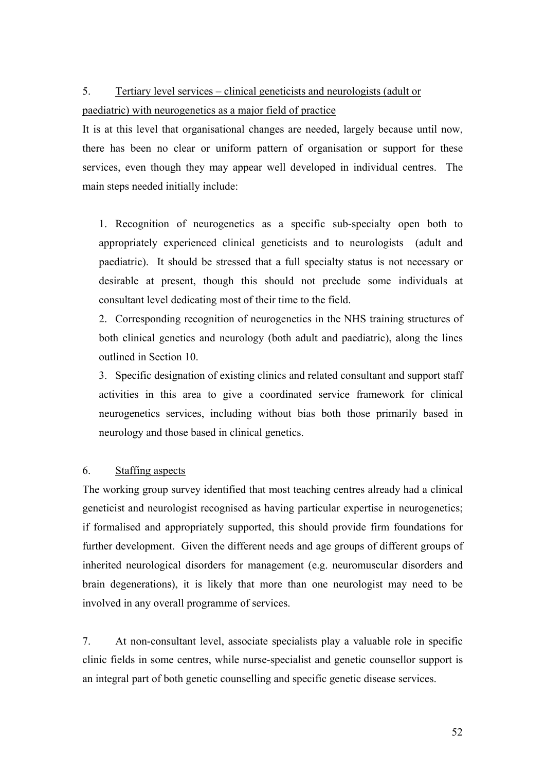## 5. Tertiary level services – clinical geneticists and neurologists (adult or

#### paediatric) with neurogenetics as a major field of practice

It is at this level that organisational changes are needed, largely because until now, there has been no clear or uniform pattern of organisation or support for these services, even though they may appear well developed in individual centres. The main steps needed initially include:

1. Recognition of neurogenetics as a specific sub-specialty open both to appropriately experienced clinical geneticists and to neurologists (adult and paediatric). It should be stressed that a full specialty status is not necessary or desirable at present, though this should not preclude some individuals at consultant level dedicating most of their time to the field.

2. Corresponding recognition of neurogenetics in the NHS training structures of both clinical genetics and neurology (both adult and paediatric), along the lines outlined in Section 10.

3. Specific designation of existing clinics and related consultant and support staff activities in this area to give a coordinated service framework for clinical neurogenetics services, including without bias both those primarily based in neurology and those based in clinical genetics.

#### 6. Staffing aspects

The working group survey identified that most teaching centres already had a clinical geneticist and neurologist recognised as having particular expertise in neurogenetics; if formalised and appropriately supported, this should provide firm foundations for further development. Given the different needs and age groups of different groups of inherited neurological disorders for management (e.g. neuromuscular disorders and brain degenerations), it is likely that more than one neurologist may need to be involved in any overall programme of services.

7. At non-consultant level, associate specialists play a valuable role in specific clinic fields in some centres, while nurse-specialist and genetic counsellor support is an integral part of both genetic counselling and specific genetic disease services.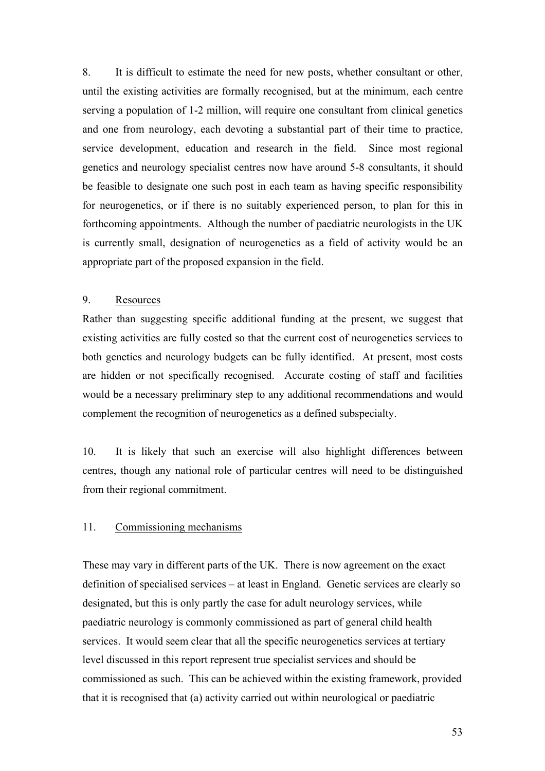8. It is difficult to estimate the need for new posts, whether consultant or other, until the existing activities are formally recognised, but at the minimum, each centre serving a population of 1-2 million, will require one consultant from clinical genetics and one from neurology, each devoting a substantial part of their time to practice, service development, education and research in the field. Since most regional genetics and neurology specialist centres now have around 5-8 consultants, it should be feasible to designate one such post in each team as having specific responsibility for neurogenetics, or if there is no suitably experienced person, to plan for this in forthcoming appointments. Although the number of paediatric neurologists in the UK is currently small, designation of neurogenetics as a field of activity would be an appropriate part of the proposed expansion in the field.

#### 9. Resources

Rather than suggesting specific additional funding at the present, we suggest that existing activities are fully costed so that the current cost of neurogenetics services to both genetics and neurology budgets can be fully identified. At present, most costs are hidden or not specifically recognised. Accurate costing of staff and facilities would be a necessary preliminary step to any additional recommendations and would complement the recognition of neurogenetics as a defined subspecialty.

10. It is likely that such an exercise will also highlight differences between centres, though any national role of particular centres will need to be distinguished from their regional commitment.

#### 11. Commissioning mechanisms

These may vary in different parts of the UK. There is now agreement on the exact definition of specialised services – at least in England. Genetic services are clearly so designated, but this is only partly the case for adult neurology services, while paediatric neurology is commonly commissioned as part of general child health services. It would seem clear that all the specific neurogenetics services at tertiary level discussed in this report represent true specialist services and should be commissioned as such. This can be achieved within the existing framework, provided that it is recognised that (a) activity carried out within neurological or paediatric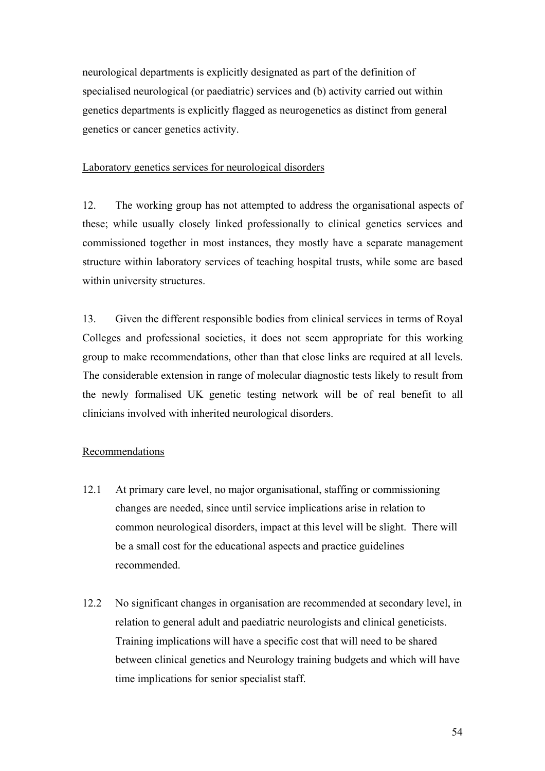neurological departments is explicitly designated as part of the definition of specialised neurological (or paediatric) services and (b) activity carried out within genetics departments is explicitly flagged as neurogenetics as distinct from general genetics or cancer genetics activity.

#### Laboratory genetics services for neurological disorders

12. The working group has not attempted to address the organisational aspects of these; while usually closely linked professionally to clinical genetics services and commissioned together in most instances, they mostly have a separate management structure within laboratory services of teaching hospital trusts, while some are based within university structures.

13. Given the different responsible bodies from clinical services in terms of Royal Colleges and professional societies, it does not seem appropriate for this working group to make recommendations, other than that close links are required at all levels. The considerable extension in range of molecular diagnostic tests likely to result from the newly formalised UK genetic testing network will be of real benefit to all clinicians involved with inherited neurological disorders.

#### Recommendations

- 12.1 At primary care level, no major organisational, staffing or commissioning changes are needed, since until service implications arise in relation to common neurological disorders, impact at this level will be slight. There will be a small cost for the educational aspects and practice guidelines recommended.
- 12.2 No significant changes in organisation are recommended at secondary level, in relation to general adult and paediatric neurologists and clinical geneticists. Training implications will have a specific cost that will need to be shared between clinical genetics and Neurology training budgets and which will have time implications for senior specialist staff.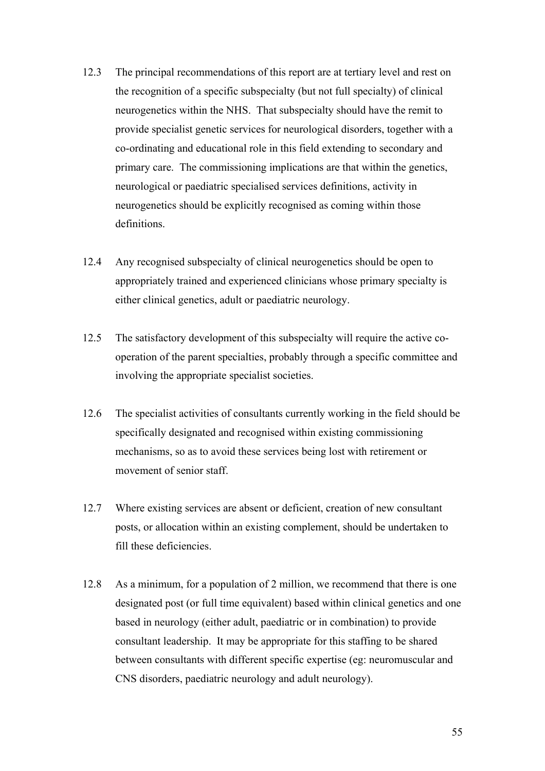- 12.3 The principal recommendations of this report are at tertiary level and rest on the recognition of a specific subspecialty (but not full specialty) of clinical neurogenetics within the NHS. That subspecialty should have the remit to provide specialist genetic services for neurological disorders, together with a co-ordinating and educational role in this field extending to secondary and primary care. The commissioning implications are that within the genetics, neurological or paediatric specialised services definitions, activity in neurogenetics should be explicitly recognised as coming within those definitions.
- 12.4 Any recognised subspecialty of clinical neurogenetics should be open to appropriately trained and experienced clinicians whose primary specialty is either clinical genetics, adult or paediatric neurology.
- 12.5 The satisfactory development of this subspecialty will require the active cooperation of the parent specialties, probably through a specific committee and involving the appropriate specialist societies.
- 12.6 The specialist activities of consultants currently working in the field should be specifically designated and recognised within existing commissioning mechanisms, so as to avoid these services being lost with retirement or movement of senior staff.
- 12.7 Where existing services are absent or deficient, creation of new consultant posts, or allocation within an existing complement, should be undertaken to fill these deficiencies.
- 12.8 As a minimum, for a population of 2 million, we recommend that there is one designated post (or full time equivalent) based within clinical genetics and one based in neurology (either adult, paediatric or in combination) to provide consultant leadership. It may be appropriate for this staffing to be shared between consultants with different specific expertise (eg: neuromuscular and CNS disorders, paediatric neurology and adult neurology).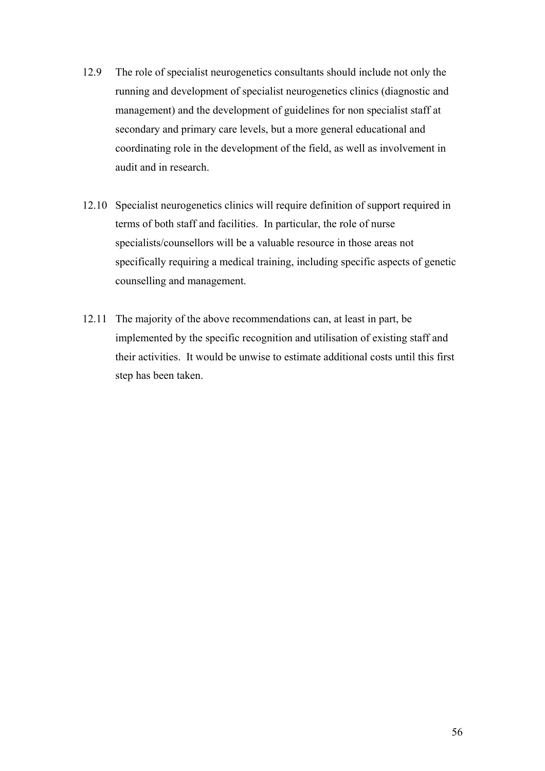- 12.9 The role of specialist neurogenetics consultants should include not only the running and development of specialist neurogenetics clinics (diagnostic and management) and the development of guidelines for non specialist staff at secondary and primary care levels, but a more general educational and coordinating role in the development of the field, as well as involvement in audit and in research.
- 12.10 Specialist neurogenetics clinics will require definition of support required in terms of both staff and facilities. In particular, the role of nurse specialists/counsellors will be a valuable resource in those areas not specifically requiring a medical training, including specific aspects of genetic counselling and management.
- 12.11 The majority of the above recommendations can, at least in part, be implemented by the specific recognition and utilisation of existing staff and their activities. It would be unwise to estimate additional costs until this first step has been taken.